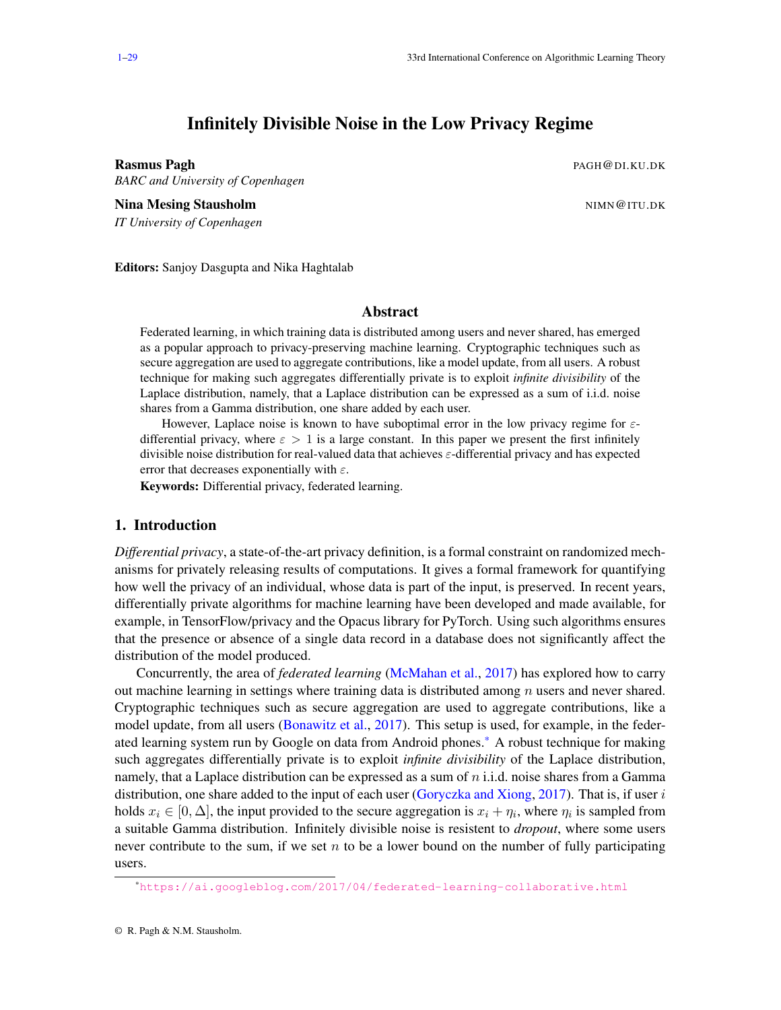# Infinitely Divisible Noise in the Low Privacy Regime

<span id="page-0-1"></span><span id="page-0-0"></span>Rasmus Pagh Photos Communication of the Communication of the PAGH@DI.KU.DK

*BARC and University of Copenhagen*

Nina Mesing Stausholm Nina and the state of the state of the state of the state of the state of the state of the state of the state of the state of the state of the state of the state of the state of the state of the state *IT University of Copenhagen*

Editors: Sanjoy Dasgupta and Nika Haghtalab

## Abstract

Federated learning, in which training data is distributed among users and never shared, has emerged as a popular approach to privacy-preserving machine learning. Cryptographic techniques such as secure aggregation are used to aggregate contributions, like a model update, from all users. A robust technique for making such aggregates differentially private is to exploit *infinite divisibility* of the Laplace distribution, namely, that a Laplace distribution can be expressed as a sum of i.i.d. noise shares from a Gamma distribution, one share added by each user.

However, Laplace noise is known to have suboptimal error in the low privacy regime for  $\varepsilon$ differential privacy, where  $\varepsilon > 1$  is a large constant. In this paper we present the first infinitely divisible noise distribution for real-valued data that achieves  $\varepsilon$ -differential privacy and has expected error that decreases exponentially with  $\varepsilon$ .

Keywords: Differential privacy, federated learning.

## 1. Introduction

*Differential privacy*, a state-of-the-art privacy definition, is a formal constraint on randomized mechanisms for privately releasing results of computations. It gives a formal framework for quantifying how well the privacy of an individual, whose data is part of the input, is preserved. In recent years, differentially private algorithms for machine learning have been developed and made available, for example, in TensorFlow/privacy and the Opacus library for PyTorch. Using such algorithms ensures that the presence or absence of a single data record in a database does not significantly affect the distribution of the model produced.

Concurrently, the area of *federated learning* [\(McMahan et al.,](#page-17-0) [2017\)](#page-17-0) has explored how to carry out machine learning in settings where training data is distributed among  $n$  users and never shared. Cryptographic techniques such as secure aggregation are used to aggregate contributions, like a model update, from all users [\(Bonawitz et al.,](#page-14-0) [2017\)](#page-14-0). This setup is used, for example, in the federated learning system run by Google on data from Android phones.\* A robust technique for making such aggregates differentially private is to exploit *infinite divisibility* of the Laplace distribution, namely, that a Laplace distribution can be expressed as a sum of  $n$  i.i.d. noise shares from a Gamma distribution, one share added to the input of each user [\(Goryczka and Xiong,](#page-16-0) [2017\)](#page-16-0). That is, if user  $i$ holds  $x_i \in [0, \Delta]$ , the input provided to the secure aggregation is  $x_i + \eta_i$ , where  $\eta_i$  is sampled from a suitable Gamma distribution. Infinitely divisible noise is resistent to *dropout*, where some users never contribute to the sum, if we set  $n$  to be a lower bound on the number of fully participating users.

<sup>\*</sup><https://ai.googleblog.com/2017/04/federated-learning-collaborative.html>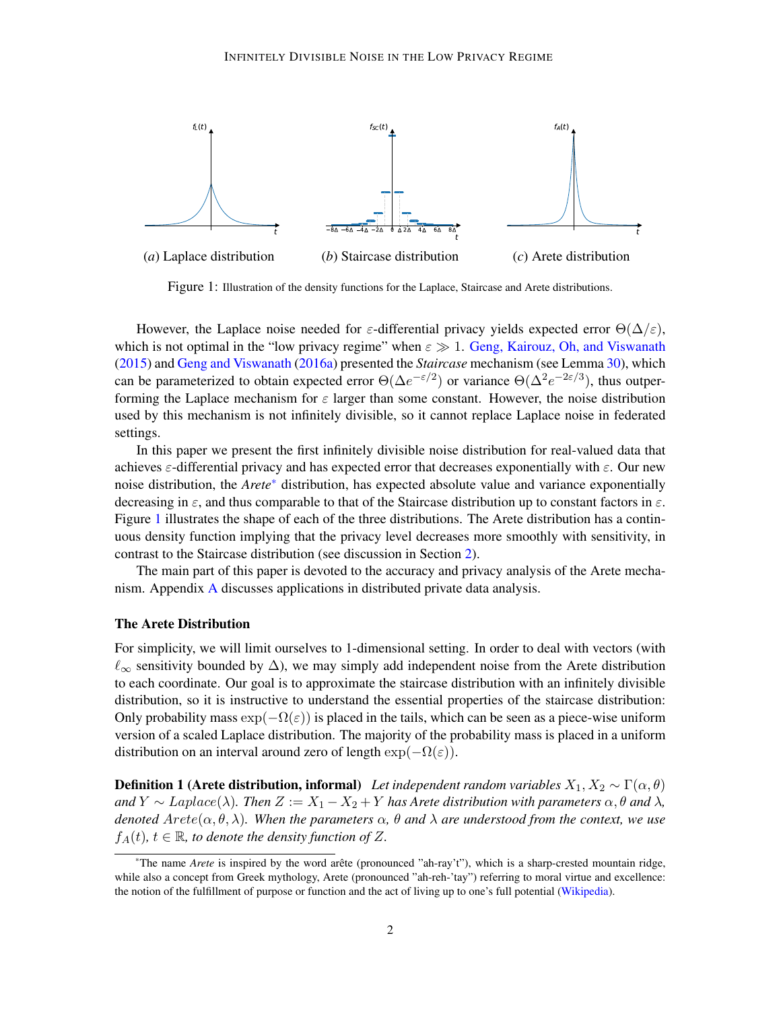

<span id="page-1-0"></span>Figure 1: Illustration of the density functions for the Laplace, Staircase and Arete distributions.

However, the Laplace noise needed for  $\varepsilon$ -differential privacy yields expected error  $\Theta(\Delta/\varepsilon)$ , which is not optimal in the "low privacy regime" when  $\varepsilon \gg 1$ . [Geng, Kairouz, Oh, and Viswanath](#page-15-0) [\(2015\)](#page-15-0) and [Geng and Viswanath](#page-15-1) [\(2016a\)](#page-15-1) presented the *Staircase* mechanism (see Lemma [30\)](#page-20-0), which can be parameterized to obtain expected error  $\Theta(\Delta e^{-\epsilon/2})$  or variance  $\Theta(\Delta^2 e^{-2\epsilon/3})$ , thus outperforming the Laplace mechanism for  $\varepsilon$  larger than some constant. However, the noise distribution used by this mechanism is not infinitely divisible, so it cannot replace Laplace noise in federated settings.

In this paper we present the first infinitely divisible noise distribution for real-valued data that achieves  $\varepsilon$ -differential privacy and has expected error that decreases exponentially with  $\varepsilon$ . Our new noise distribution, the *Arete*[\\*](#page-0-1) distribution, has expected absolute value and variance exponentially decreasing in  $\varepsilon$ , and thus comparable to that of the Staircase distribution up to constant factors in  $\varepsilon$ . Figure [1](#page-1-0) illustrates the shape of each of the three distributions. The Arete distribution has a continuous density function implying that the privacy level decreases more smoothly with sensitivity, in contrast to the Staircase distribution (see discussion in Section [2\)](#page-4-0).

The main part of this paper is devoted to the accuracy and privacy analysis of the Arete mechanism. Appendix [A](#page-17-1) discusses applications in distributed private data analysis.

#### The Arete Distribution

For simplicity, we will limit ourselves to 1-dimensional setting. In order to deal with vectors (with  $\ell_{\infty}$  sensitivity bounded by  $\Delta$ ), we may simply add independent noise from the Arete distribution to each coordinate. Our goal is to approximate the staircase distribution with an infinitely divisible distribution, so it is instructive to understand the essential properties of the staircase distribution: Only probability mass  $\exp(-\Omega(\varepsilon))$  is placed in the tails, which can be seen as a piece-wise uniform version of a scaled Laplace distribution. The majority of the probability mass is placed in a uniform distribution on an interval around zero of length  $\exp(-\Omega(\varepsilon)).$ 

<span id="page-1-1"></span>**Definition 1 (Arete distribution, informal)** *Let independent random variables*  $X_1, X_2 \sim \Gamma(\alpha, \theta)$ *and*  $Y \sim Laplace(\lambda)$ *. Then*  $Z := X_1 - X_2 + Y$  *has Arete distribution with parameters*  $\alpha, \theta$  *and*  $\lambda$ *, denoted*  $Arete(\alpha, \theta, \lambda)$ *. When the parameters*  $\alpha$ *,*  $\theta$  *and*  $\lambda$  *are understood from the context, we use*  $f_A(t)$ ,  $t \in \mathbb{R}$ , to denote the density function of Z.

<sup>\*</sup>The name *Arete* is inspired by the word arete (pronounced "ah-ray't"), which is a sharp-crested mountain ridge, ˆ while also a concept from Greek mythology, Arete (pronounced "ah-reh-'tay") referring to moral virtue and excellence: the notion of the fulfillment of purpose or function and the act of living up to one's full potential [\(Wikipedia\)](#page-17-2).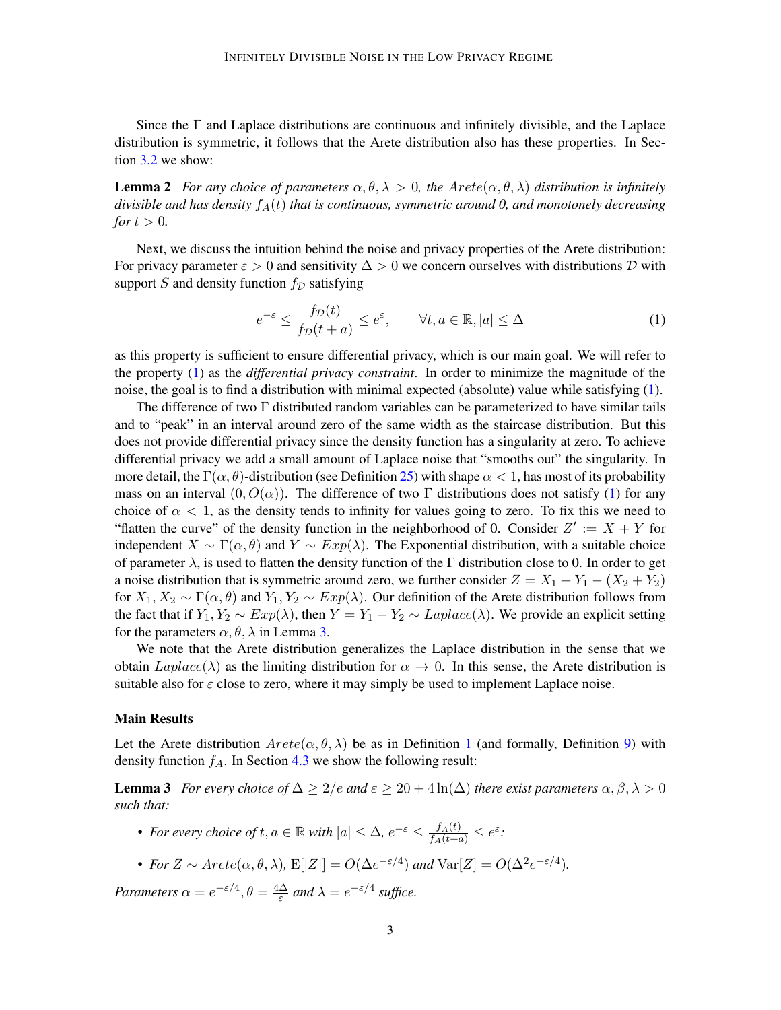<span id="page-2-2"></span>Since the  $\Gamma$  and Laplace distributions are continuous and infinitely divisible, and the Laplace distribution is symmetric, it follows that the Arete distribution also has these properties. In Section [3.2](#page-8-0) we show:

**Lemma 2** *For any choice of parameters*  $\alpha, \theta, \lambda > 0$ *, the Arete*( $\alpha, \theta, \lambda$ ) *distribution is infinitely*  $divisible$  and has density  $f_A(t)$  *that is continuous, symmetric around 0, and monotonely decreasing for*  $t > 0$ *.* 

Next, we discuss the intuition behind the noise and privacy properties of the Arete distribution: For privacy parameter  $\varepsilon > 0$  and sensitivity  $\Delta > 0$  we concern ourselves with distributions D with support S and density function  $f_{\mathcal{D}}$  satisfying

<span id="page-2-0"></span>
$$
e^{-\varepsilon} \le \frac{f_D(t)}{f_D(t+a)} \le e^{\varepsilon}, \qquad \forall t, a \in \mathbb{R}, |a| \le \Delta \tag{1}
$$

as this property is sufficient to ensure differential privacy, which is our main goal. We will refer to the property [\(1\)](#page-2-0) as the *differential privacy constraint*. In order to minimize the magnitude of the noise, the goal is to find a distribution with minimal expected (absolute) value while satisfying [\(1\)](#page-2-0).

The difference of two Γ distributed random variables can be parameterized to have similar tails and to "peak" in an interval around zero of the same width as the staircase distribution. But this does not provide differential privacy since the density function has a singularity at zero. To achieve differential privacy we add a small amount of Laplace noise that "smooths out" the singularity. In more detail, the  $\Gamma(\alpha, \theta)$ -distribution (see Definition [25\)](#page-19-0) with shape  $\alpha < 1$ , has most of its probability mass on an interval  $(0, O(\alpha))$ . The difference of two Γ distributions does not satisfy [\(1\)](#page-2-0) for any choice of  $\alpha < 1$ , as the density tends to infinity for values going to zero. To fix this we need to "flatten the curve" of the density function in the neighborhood of 0. Consider  $Z' := X + Y$  for independent  $X \sim \Gamma(\alpha, \theta)$  and  $Y \sim Exp(\lambda)$ . The Exponential distribution, with a suitable choice of parameter  $\lambda$ , is used to flatten the density function of the Γ distribution close to 0. In order to get a noise distribution that is symmetric around zero, we further consider  $Z = X_1 + Y_1 - (X_2 + Y_2)$ for  $X_1, X_2 \sim \Gamma(\alpha, \theta)$  and  $Y_1, Y_2 \sim Exp(\lambda)$ . Our definition of the Arete distribution follows from the fact that if  $Y_1, Y_2 \sim Exp(\lambda)$ , then  $Y = Y_1 - Y_2 \sim Laplace(\lambda)$ . We provide an explicit setting for the parameters  $\alpha$ ,  $\theta$ ,  $\lambda$  in Lemma [3.](#page-2-1)

We note that the Arete distribution generalizes the Laplace distribution in the sense that we obtain  $Laplace(\lambda)$  as the limiting distribution for  $\alpha \to 0$ . In this sense, the Arete distribution is suitable also for  $\varepsilon$  close to zero, where it may simply be used to implement Laplace noise.

#### Main Results

Let the Arete distribution  $Arete(\alpha, \theta, \lambda)$  be as in Definition [1](#page-1-1) (and formally, Definition [9\)](#page-6-0) with density function  $f_A$ . In Section [4.3](#page-12-0) we show the following result:

**Lemma 3** *For every choice of*  $\Delta \geq 2/e$  *and*  $\varepsilon \geq 20 + 4 \ln(\Delta)$  *there exist parameters*  $\alpha, \beta, \lambda > 0$ *such that:*

- <span id="page-2-1"></span>• For every choice of  $t, a \in \mathbb{R}$  with  $|a| \leq \Delta$ ,  $e^{-\varepsilon} \leq \frac{f_A(t)}{f_A(t+a)} \leq e^{\varepsilon}$ .
- For  $Z \sim A \text{rete}(\alpha, \theta, \lambda)$ ,  $E[|Z|] = O(\Delta e^{-\epsilon/4})$  and  $Var[Z] = O(\Delta^2 e^{-\epsilon/4})$ .

*Parameters*  $\alpha = e^{-\epsilon/4}, \theta = \frac{4\Delta}{\epsilon}$  $\frac{\Delta}{\varepsilon}$  and  $\lambda = e^{-\varepsilon/4}$  suffice.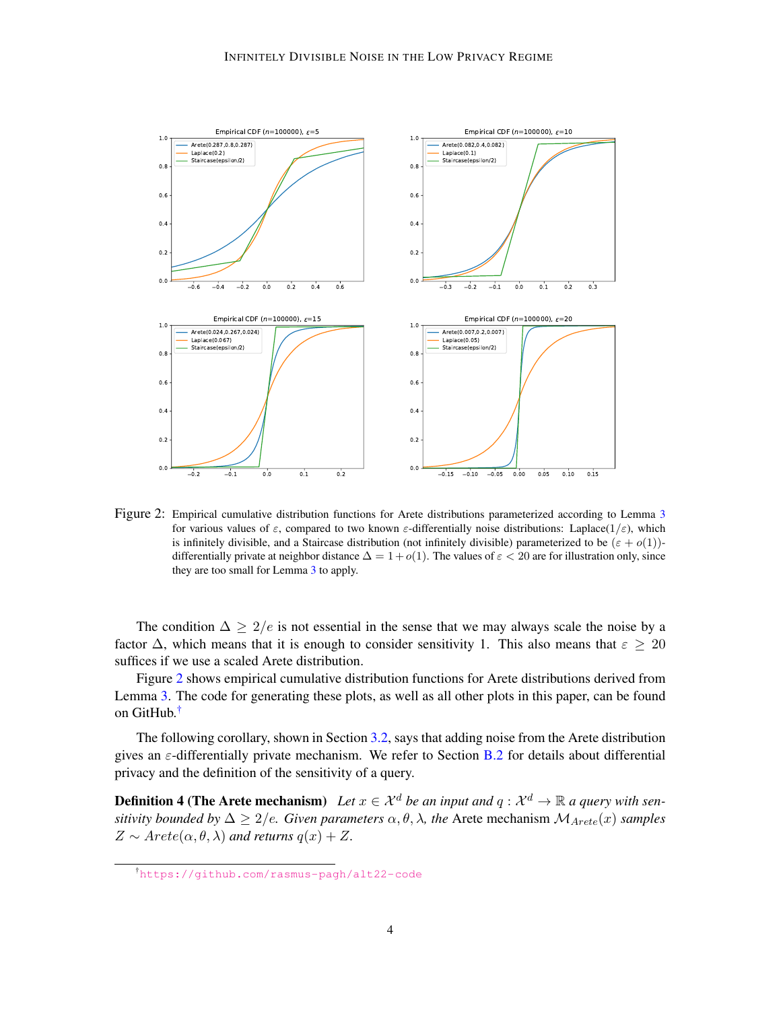

<span id="page-3-0"></span>Figure 2: Empirical cumulative distribution functions for Arete distributions parameterized according to Lemma [3](#page-2-1) for various values of  $\varepsilon$ , compared to two known  $\varepsilon$ -differentially noise distributions: Laplace( $1/\varepsilon$ ), which is infinitely divisible, and a Staircase distribution (not infinitely divisible) parameterized to be  $(\varepsilon + o(1))$ differentially private at neighbor distance  $\Delta = 1 + o(1)$ . The values of  $\varepsilon < 20$  are for illustration only, since they are too small for Lemma [3](#page-2-1) to apply.

The condition  $\Delta \geq 2/e$  is not essential in the sense that we may always scale the noise by a factor  $\Delta$ , which means that it is enough to consider sensitivity 1. This also means that  $\varepsilon \geq 20$ suffices if we use a scaled Arete distribution.

Figure [2](#page-3-0) shows empirical cumulative distribution functions for Arete distributions derived from Lemma [3.](#page-2-1) The code for generating these plots, as well as all other plots in this paper, can be found on GitHub.[†](#page-0-1)

The following corollary, shown in Section [3.2,](#page-8-0) says that adding noise from the Arete distribution gives an  $\varepsilon$ -differentially private mechanism. We refer to Section [B.2](#page-20-1) for details about differential privacy and the definition of the sensitivity of a query.

**Definition 4 (The Arete mechanism)** Let  $x \in \mathcal{X}^d$  be an input and  $q : \mathcal{X}^d \to \mathbb{R}$  a query with sen*sitivity bounded by*  $\Delta \geq 2/e$ *. Given parameters*  $\alpha, \theta, \lambda$ *, the Arete mechanism*  $\mathcal{M}_{Arete}(x)$  *samples*  $Z \sim \text{Arete}(\alpha, \theta, \lambda)$  and returns  $q(x) + Z$ .

<span id="page-3-1"></span><sup>†</sup><https://github.com/rasmus-pagh/alt22-code>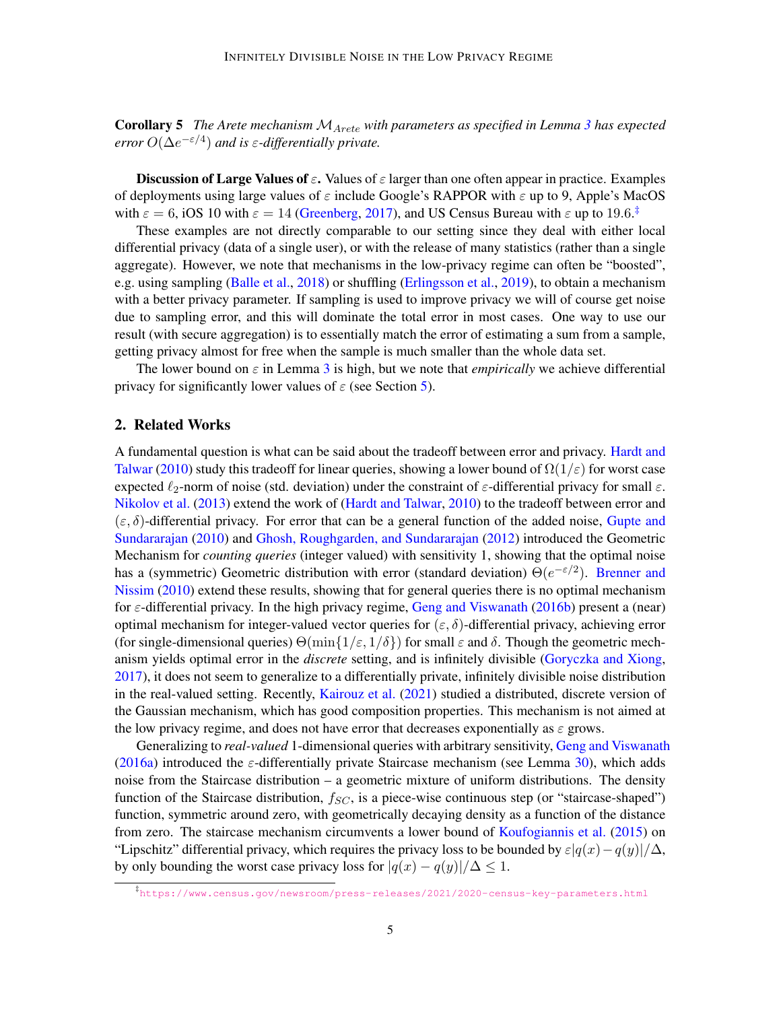Corollary 5 *The Arete mechanism* MArete *with parameters as specified in Lemma [3](#page-2-1) has expected error*  $O(\Delta e^{-\epsilon/4})$  *and is*  $\epsilon$ *-differentially private.* 

**Discussion of Large Values of**  $\varepsilon$ **.** Values of  $\varepsilon$  larger than one often appear in practice. Examples of deployments using large values of  $\varepsilon$  include Google's RAPPOR with  $\varepsilon$  up to 9, Apple's MacOS with  $\varepsilon = 6$ , iOS 10 with  $\varepsilon = 14$  [\(Greenberg,](#page-16-1) [2017\)](#page-16-1), and US Census Bureau with  $\varepsilon$  up to 19.6.<sup>[‡](#page-0-1)</sup>

These examples are not directly comparable to our setting since they deal with either local differential privacy (data of a single user), or with the release of many statistics (rather than a single aggregate). However, we note that mechanisms in the low-privacy regime can often be "boosted", e.g. using sampling [\(Balle et al.,](#page-14-1) [2018\)](#page-14-1) or shuffling [\(Erlingsson et al.,](#page-15-2) [2019\)](#page-15-2), to obtain a mechanism with a better privacy parameter. If sampling is used to improve privacy we will of course get noise due to sampling error, and this will dominate the total error in most cases. One way to use our result (with secure aggregation) is to essentially match the error of estimating a sum from a sample, getting privacy almost for free when the sample is much smaller than the whole data set.

The lower bound on  $\varepsilon$  in Lemma [3](#page-2-1) is high, but we note that *empirically* we achieve differential privacy for significantly lower values of  $\varepsilon$  (see Section [5\)](#page-13-0).

### <span id="page-4-0"></span>2. Related Works

A fundamental question is what can be said about the tradeoff between error and privacy. [Hardt and](#page-16-2) [Talwar](#page-16-2) [\(2010\)](#page-16-2) study this tradeoff for linear queries, showing a lower bound of  $\Omega(1/\varepsilon)$  for worst case expected  $\ell_2$ -norm of noise (std. deviation) under the constraint of  $\varepsilon$ -differential privacy for small  $\varepsilon$ . [Nikolov et al.](#page-17-3) [\(2013\)](#page-17-3) extend the work of [\(Hardt and Talwar,](#page-16-2) [2010\)](#page-16-2) to the tradeoff between error and  $(\varepsilon, \delta)$ -differential privacy. For error that can be a general function of the added noise, [Gupte and](#page-16-3) [Sundararajan](#page-16-3) [\(2010\)](#page-16-3) and [Ghosh, Roughgarden, and Sundararajan](#page-16-4) [\(2012\)](#page-16-4) introduced the Geometric Mechanism for *counting queries* (integer valued) with sensitivity 1, showing that the optimal noise has a (symmetric) Geometric distribution with error (standard deviation)  $\Theta(e^{-\epsilon/2})$ . [Brenner and](#page-14-2) [Nissim](#page-14-2) [\(2010\)](#page-14-2) extend these results, showing that for general queries there is no optimal mechanism for  $\varepsilon$ -differential privacy. In the high privacy regime, [Geng and Viswanath](#page-15-3) [\(2016b\)](#page-15-3) present a (near) optimal mechanism for integer-valued vector queries for  $(\varepsilon, \delta)$ -differential privacy, achieving error (for single-dimensional queries)  $\Theta(\min\{1/\varepsilon, 1/\delta\})$  for small  $\varepsilon$  and  $\delta$ . Though the geometric mechanism yields optimal error in the *discrete* setting, and is infinitely divisible [\(Goryczka and Xiong,](#page-16-0) [2017\)](#page-16-0), it does not seem to generalize to a differentially private, infinitely divisible noise distribution in the real-valued setting. Recently, [Kairouz et al.](#page-16-5) [\(2021\)](#page-16-5) studied a distributed, discrete version of the Gaussian mechanism, which has good composition properties. This mechanism is not aimed at the low privacy regime, and does not have error that decreases exponentially as  $\varepsilon$  grows.

Generalizing to *real-valued* 1-dimensional queries with arbitrary sensitivity, [Geng and Viswanath](#page-15-1) [\(2016a\)](#page-15-1) introduced the  $\varepsilon$ -differentially private Staircase mechanism (see Lemma [30\)](#page-20-0), which adds noise from the Staircase distribution – a geometric mixture of uniform distributions. The density function of the Staircase distribution,  $f_{SC}$ , is a piece-wise continuous step (or "staircase-shaped") function, symmetric around zero, with geometrically decaying density as a function of the distance from zero. The staircase mechanism circumvents a lower bound of [Koufogiannis et al.](#page-16-6) [\(2015\)](#page-16-6) on "Lipschitz" differential privacy, which requires the privacy loss to be bounded by  $\varepsilon|q(x)-q(y)|/\Delta$ , by only bounding the worst case privacy loss for  $|q(x) - q(y)|/\Delta \leq 1$ .

<sup>‡</sup> <https://www.census.gov/newsroom/press-releases/2021/2020-census-key-parameters.html>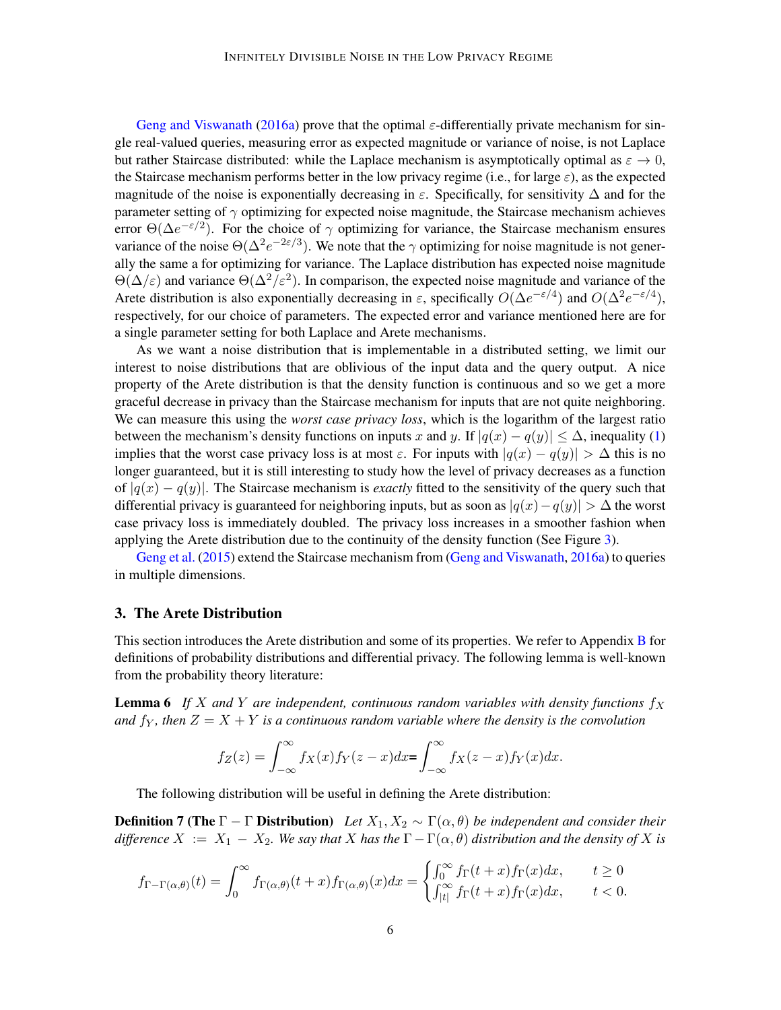[Geng and Viswanath](#page-15-1) [\(2016a\)](#page-15-1) prove that the optimal  $\varepsilon$ -differentially private mechanism for single real-valued queries, measuring error as expected magnitude or variance of noise, is not Laplace but rather Staircase distributed: while the Laplace mechanism is asymptotically optimal as  $\varepsilon \to 0$ , the Staircase mechanism performs better in the low privacy regime (i.e., for large  $\varepsilon$ ), as the expected magnitude of the noise is exponentially decreasing in  $\varepsilon$ . Specifically, for sensitivity  $\Delta$  and for the parameter setting of  $\gamma$  optimizing for expected noise magnitude, the Staircase mechanism achieves error  $\Theta(\Delta e^{-\epsilon/2})$ . For the choice of  $\gamma$  optimizing for variance, the Staircase mechanism ensures variance of the noise  $\Theta(\Delta^2 e^{-2\epsilon/3})$ . We note that the  $\gamma$  optimizing for noise magnitude is not generally the same a for optimizing for variance. The Laplace distribution has expected noise magnitude  $\Theta(\Delta/\varepsilon)$  and variance  $\Theta(\Delta^2/\varepsilon^2)$ . In comparison, the expected noise magnitude and variance of the Arete distribution is also exponentially decreasing in  $\varepsilon$ , specifically  $O(\Delta e^{-\varepsilon/4})$  and  $O(\Delta^2 e^{-\varepsilon/4})$ , respectively, for our choice of parameters. The expected error and variance mentioned here are for a single parameter setting for both Laplace and Arete mechanisms.

As we want a noise distribution that is implementable in a distributed setting, we limit our interest to noise distributions that are oblivious of the input data and the query output. A nice property of the Arete distribution is that the density function is continuous and so we get a more graceful decrease in privacy than the Staircase mechanism for inputs that are not quite neighboring. We can measure this using the *worst case privacy loss*, which is the logarithm of the largest ratio between the mechanism's density functions on inputs x and y. If  $|q(x) - q(y)| \leq \Delta$ , inequality [\(1\)](#page-2-0) implies that the worst case privacy loss is at most  $\varepsilon$ . For inputs with  $|q(x) - q(y)| > \Delta$  this is no longer guaranteed, but it is still interesting to study how the level of privacy decreases as a function of |q(x) − q(y)|. The Staircase mechanism is *exactly* fitted to the sensitivity of the query such that differential privacy is guaranteed for neighboring inputs, but as soon as  $|q(x)-q(y)| > \Delta$  the worst case privacy loss is immediately doubled. The privacy loss increases in a smoother fashion when applying the Arete distribution due to the continuity of the density function (See Figure [3\)](#page-6-1).

[Geng et al.](#page-15-0) [\(2015\)](#page-15-0) extend the Staircase mechanism from [\(Geng and Viswanath,](#page-15-1) [2016a\)](#page-15-1) to queries in multiple dimensions.

### 3. The Arete Distribution

This section introduces the Arete distribution and some of its properties. We refer to Appendix [B](#page-19-1) for definitions of probability distributions and differential privacy. The following lemma is well-known from the probability theory literature:

**Lemma 6** If X and Y are independent, continuous random variables with density functions  $f_X$ *and*  $f_Y$ , then  $Z = X + Y$  *is a continuous random variable where the density is the convolution* 

<span id="page-5-1"></span><span id="page-5-0"></span>
$$
f_Z(z) = \int_{-\infty}^{\infty} f_X(x) f_Y(z - x) dx = \int_{-\infty}^{\infty} f_X(z - x) f_Y(x) dx.
$$

The following distribution will be useful in defining the Arete distribution:

**Definition 7 (The**  $\Gamma - \Gamma$  **Distribution**) *Let*  $X_1, X_2 \sim \Gamma(\alpha, \theta)$  *be independent and consider their difference*  $X := X_1 - X_2$ . We say that X has the  $\Gamma - \Gamma(\alpha, \theta)$  distribution and the density of X is

$$
f_{\Gamma-\Gamma(\alpha,\theta)}(t) = \int_0^\infty f_{\Gamma(\alpha,\theta)}(t+x) f_{\Gamma(\alpha,\theta)}(x) dx = \begin{cases} \int_0^\infty f_{\Gamma}(t+x) f_{\Gamma}(x) dx, & t \ge 0 \\ \int_{|t|}^\infty f_{\Gamma}(t+x) f_{\Gamma}(x) dx, & t < 0. \end{cases}
$$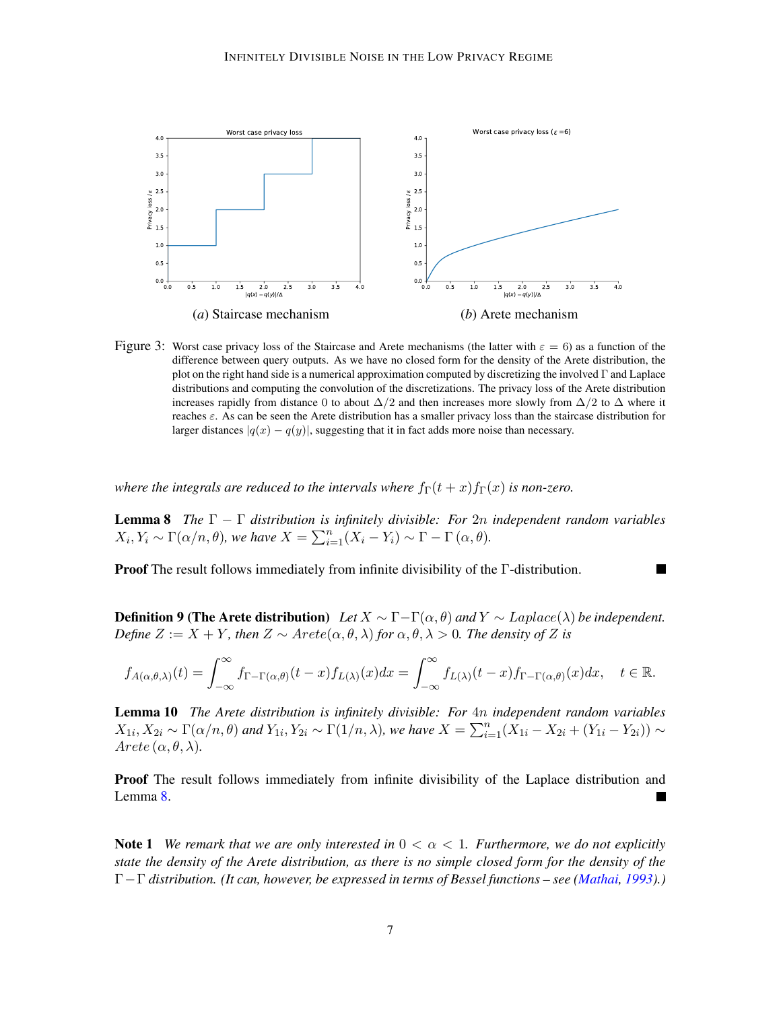

<span id="page-6-1"></span>Figure 3: Worst case privacy loss of the Staircase and Arete mechanisms (the latter with  $\varepsilon = 6$ ) as a function of the difference between query outputs. As we have no closed form for the density of the Arete distribution, the plot on the right hand side is a numerical approximation computed by discretizing the involved Γ and Laplace distributions and computing the convolution of the discretizations. The privacy loss of the Arete distribution increases rapidly from distance 0 to about  $\Delta/2$  and then increases more slowly from  $\Delta/2$  to  $\Delta$  where it reaches  $\varepsilon$ . As can be seen the Arete distribution has a smaller privacy loss than the staircase distribution for larger distances  $|q(x) - q(y)|$ , suggesting that it in fact adds more noise than necessary.

*where the integrals are reduced to the intervals where*  $f_{\Gamma}(t+x) f_{\Gamma}(x)$  *is non-zero.* 

<span id="page-6-2"></span>Lemma 8 *The* Γ − Γ *distribution is infinitely divisible: For* 2n *independent random variables*  $X_i, Y_i \sim \Gamma(\alpha/n, \theta)$ *, we have*  $X = \sum_{i=1}^n (X_i - Y_i) \sim \Gamma - \Gamma(\alpha, \theta)$ *.* 

Proof The result follows immediately from infinite divisibility of the Γ-distribution.

<span id="page-6-0"></span>**Definition 9 (The Arete distribution)** *Let*  $X \sim \Gamma - \Gamma(\alpha, \theta)$  and  $Y \sim Laplace(\lambda)$  *be independent. Define*  $Z := X + Y$ *, then*  $Z \sim \text{Arete}(\alpha, \theta, \lambda)$  *for*  $\alpha, \theta, \lambda > 0$ *. The density of* Z *is* 

$$
f_{A(\alpha,\theta,\lambda)}(t) = \int_{-\infty}^{\infty} f_{\Gamma-\Gamma(\alpha,\theta)}(t-x) f_{L(\lambda)}(x) dx = \int_{-\infty}^{\infty} f_{L(\lambda)}(t-x) f_{\Gamma-\Gamma(\alpha,\theta)}(x) dx, \quad t \in \mathbb{R}.
$$

<span id="page-6-3"></span>Lemma 10 *The Arete distribution is infinitely divisible: For* 4n *independent random variables*  $X_{1i}$ ,  $X_{2i} \sim \Gamma(\alpha/n, \theta)$  and  $Y_{1i}$ ,  $Y_{2i} \sim \Gamma(1/n, \lambda)$ , we have  $X = \sum_{i=1}^{n} (X_{1i} - X_{2i} + (Y_{1i} - Y_{2i})) \sim$  $Arete \, (\alpha, \theta, \lambda).$ 

**Proof** The result follows immediately from infinite divisibility of the Laplace distribution and Lemma [8.](#page-6-2)

<span id="page-6-4"></span>**Note 1** We remark that we are only interested in  $0 < \alpha < 1$ . Furthermore, we do not explicitly *state the density of the Arete distribution, as there is no simple closed form for the density of the* Γ−Γ *distribution. (It can, however, be expressed in terms of Bessel functions – see [\(Mathai,](#page-16-7) [1993\)](#page-16-7).)*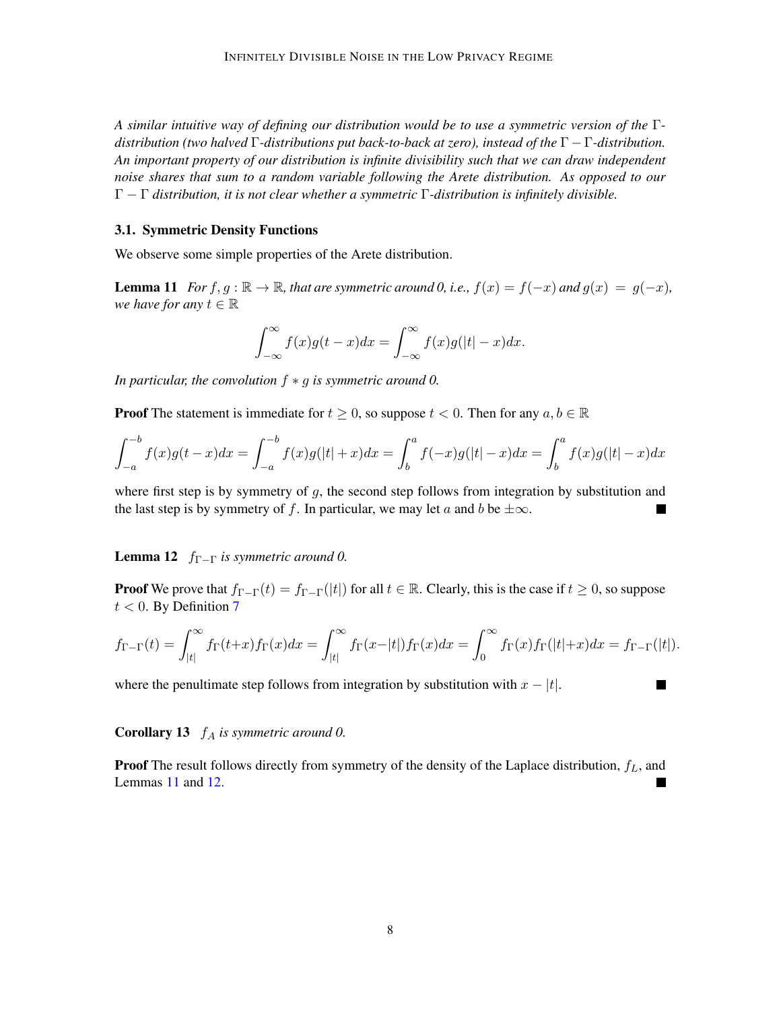*A similar intuitive way of defining our distribution would be to use a symmetric version of the* Γ*distribution (two halved* Γ*-distributions put back-to-back at zero), instead of the* Γ − Γ*-distribution. An important property of our distribution is infinite divisibility such that we can draw independent noise shares that sum to a random variable following the Arete distribution. As opposed to our* Γ − Γ *distribution, it is not clear whether a symmetric* Γ*-distribution is infinitely divisible.*

#### 3.1. Symmetric Density Functions

<span id="page-7-0"></span>We observe some simple properties of the Arete distribution.

**Lemma 11** *For*  $f, g : \mathbb{R} \to \mathbb{R}$ *, that are symmetric around 0, i.e.,*  $f(x) = f(-x)$  *and*  $g(x) = g(-x)$ *, we have for any*  $t \in \mathbb{R}$ 

$$
\int_{-\infty}^{\infty} f(x)g(t-x)dx = \int_{-\infty}^{\infty} f(x)g(|t| - x)dx.
$$

*In particular, the convolution* f ∗ g *is symmetric around 0.*

**Proof** The statement is immediate for  $t \geq 0$ , so suppose  $t < 0$ . Then for any  $a, b \in \mathbb{R}$ 

$$
\int_{-a}^{-b} f(x)g(t-x)dx = \int_{-a}^{-b} f(x)g(|t|+x)dx = \int_{b}^{a} f(-x)g(|t|-x)dx = \int_{b}^{a} f(x)g(|t|-x)dx
$$

where first step is by symmetry of  $g$ , the second step follows from integration by substitution and the last step is by symmetry of f. In particular, we may let a and b be  $\pm \infty$ . **The Second Second** 

<span id="page-7-1"></span>**Lemma 12**  $f_{\Gamma-\Gamma}$  *is symmetric around 0.* 

**Proof** We prove that  $f_{\Gamma-\Gamma}(t) = f_{\Gamma-\Gamma}(t)$  for all  $t \in \mathbb{R}$ . Clearly, this is the case if  $t \geq 0$ , so suppose  $t < 0$ . By Definition [7](#page-5-0)

$$
f_{\Gamma-\Gamma}(t) = \int_{|t|}^{\infty} f_{\Gamma}(t+x) f_{\Gamma}(x) dx = \int_{|t|}^{\infty} f_{\Gamma}(x-|t|) f_{\Gamma}(x) dx = \int_{0}^{\infty} f_{\Gamma}(x) f_{\Gamma}(|t|+x) dx = f_{\Gamma-\Gamma}(|t|).
$$

П

where the penultimate step follows from integration by substitution with  $x - |t|$ .

### <span id="page-7-2"></span>Corollary 13  $f_A$  *is symmetric around 0.*

**Proof** The result follows directly from symmetry of the density of the Laplace distribution,  $f_L$ , and Lemmas [11](#page-7-0) and [12.](#page-7-1)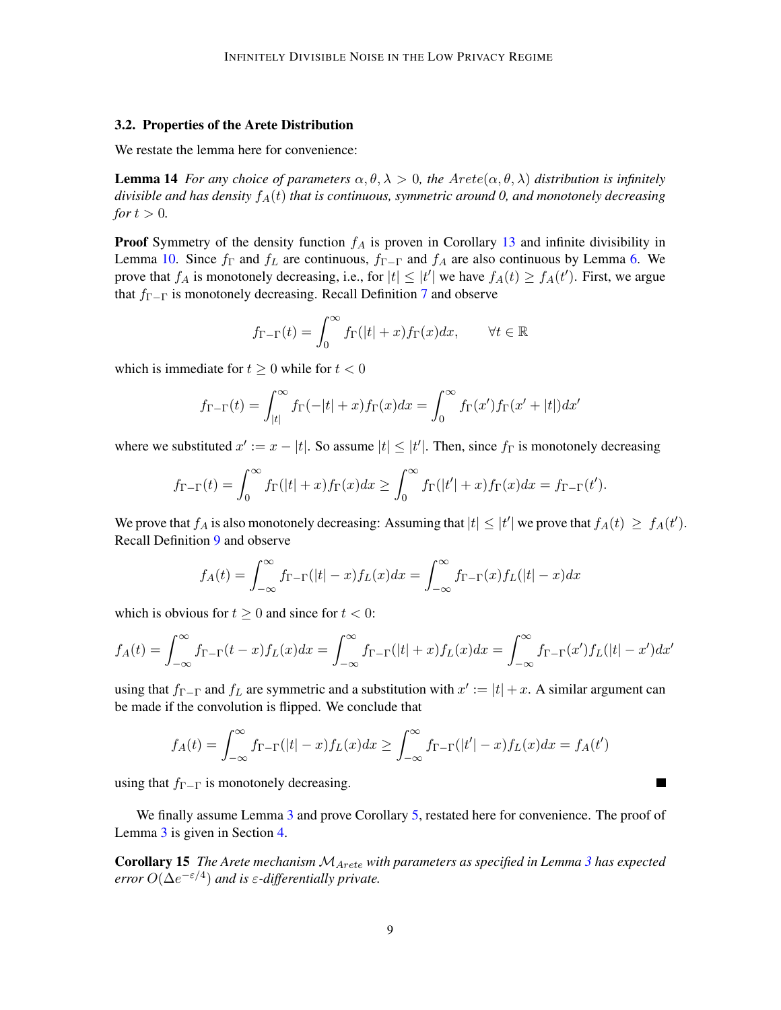#### <span id="page-8-0"></span>3.2. Properties of the Arete Distribution

We restate the lemma here for convenience:

**Lemma 14** *For any choice of parameters*  $\alpha, \theta, \lambda > 0$ , the  $Arete(\alpha, \theta, \lambda)$  distribution is infinitely *divisible and has density*  $f_A(t)$  *that is continuous, symmetric around 0, and monotonely decreasing for*  $t > 0$ *.* 

**Proof** Symmetry of the density function  $f_A$  is proven in Corollary [13](#page-7-2) and infinite divisibility in Lemma [10.](#page-6-3) Since  $f_{\Gamma}$  and  $f_{L}$  are continuous,  $f_{\Gamma-\Gamma}$  and  $f_{A}$  are also continuous by Lemma [6.](#page-5-1) We prove that  $f_A$  is monotonely decreasing, i.e., for  $|t| \leq |t'|$  we have  $f_A(t) \geq f_A(t')$ . First, we argue that  $f_{\Gamma-\Gamma}$  is monotonely decreasing. Recall Definition [7](#page-5-0) and observe

$$
f_{\Gamma-\Gamma}(t) = \int_0^\infty f_\Gamma(|t|+x) f_\Gamma(x) dx, \qquad \forall t \in \mathbb{R}
$$

which is immediate for  $t \geq 0$  while for  $t < 0$ 

$$
f_{\Gamma-\Gamma}(t) = \int_{|t|}^{\infty} f_{\Gamma}(-|t|+x) f_{\Gamma}(x) dx = \int_{0}^{\infty} f_{\Gamma}(x') f_{\Gamma}(x'+|t|) dx'
$$

where we substituted  $x' := x - |t|$ . So assume  $|t| \leq |t'|$ . Then, since  $f_{\Gamma}$  is monotonely decreasing

$$
f_{\Gamma-\Gamma}(t) = \int_0^{\infty} f_{\Gamma}(|t|+x) f_{\Gamma}(x) dx \ge \int_0^{\infty} f_{\Gamma}(|t'|+x) f_{\Gamma}(x) dx = f_{\Gamma-\Gamma}(t').
$$

We prove that  $f_A$  is also monotonely decreasing: Assuming that  $|t| \leq |t'|$  we prove that  $f_A(t) \geq f_A(t')$ . Recall Definition [9](#page-6-0) and observe

$$
f_A(t) = \int_{-\infty}^{\infty} f_{\Gamma-\Gamma}(|t|-x) f_L(x) dx = \int_{-\infty}^{\infty} f_{\Gamma-\Gamma}(x) f_L(|t|-x) dx
$$

which is obvious for  $t \geq 0$  and since for  $t < 0$ :

$$
f_A(t) = \int_{-\infty}^{\infty} f_{\Gamma-\Gamma}(t-x) f_L(x) dx = \int_{-\infty}^{\infty} f_{\Gamma-\Gamma}(|t|+x) f_L(x) dx = \int_{-\infty}^{\infty} f_{\Gamma-\Gamma}(x') f_L(|t|-x') dx'
$$

using that  $f_{\Gamma-\Gamma}$  and  $f_L$  are symmetric and a substitution with  $x' := |t| + x$ . A similar argument can be made if the convolution is flipped. We conclude that

$$
f_A(t) = \int_{-\infty}^{\infty} f_{\Gamma-\Gamma}(|t|-x) f_L(x) dx \ge \int_{-\infty}^{\infty} f_{\Gamma-\Gamma}(|t'|-x) f_L(x) dx = f_A(t')
$$

 $\blacksquare$ 

using that  $f_{\Gamma-\Gamma}$  is monotonely decreasing.

We finally assume Lemma [3](#page-2-1) and prove Corollary [5,](#page-3-1) restated here for convenience. The proof of Lemma [3](#page-2-1) is given in Section [4.](#page-9-0)

Corollary 15 *The Arete mechanism* MArete *with parameters as specified in Lemma [3](#page-2-1) has expected*  $error O(\Delta e^{-\varepsilon/4})$  and is  $\varepsilon$ -differentially private.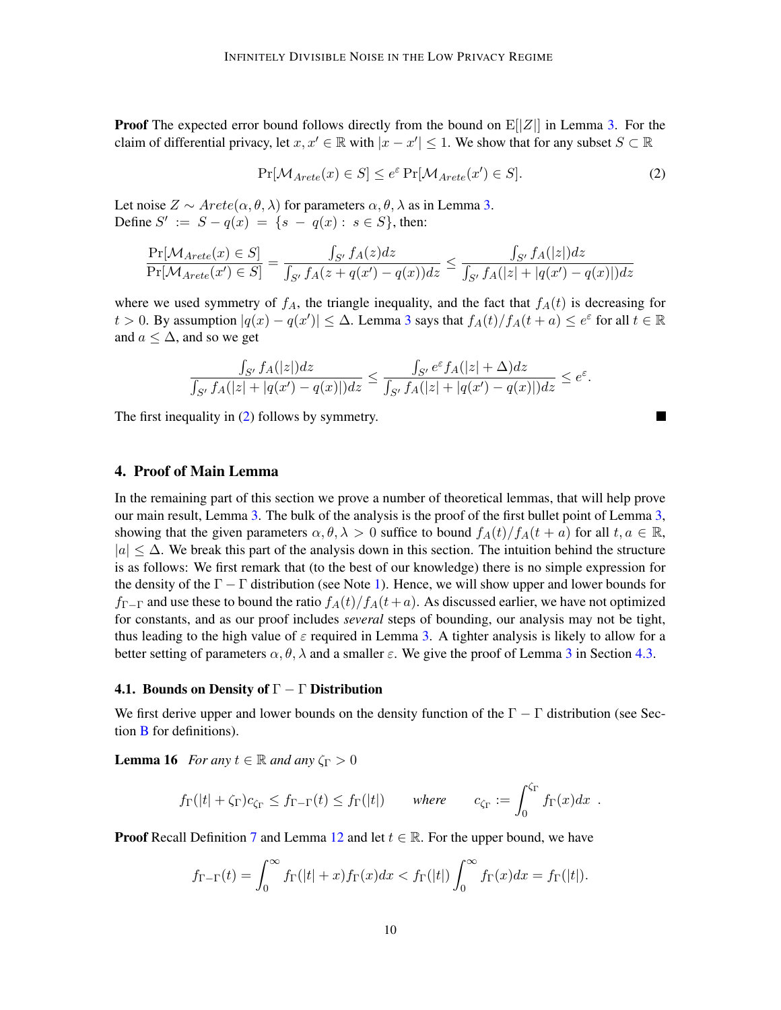**Proof** The expected error bound follows directly from the bound on  $E[|Z|]$  in Lemma [3.](#page-2-1) For the claim of differential privacy, let  $x, x' \in \mathbb{R}$  with  $|x - x'| \leq 1$ . We show that for any subset  $S \subset \mathbb{R}$ 

$$
\Pr[\mathcal{M}_{Arete}(x) \in S] \le e^{\varepsilon} \Pr[\mathcal{M}_{Arete}(x') \in S]. \tag{2}
$$

<span id="page-9-1"></span> $\blacksquare$ 

Let noise  $Z \sim \text{Arete}(\alpha, \theta, \lambda)$  for parameters  $\alpha, \theta, \lambda$  as in Lemma [3.](#page-2-1) Define  $S' := S - q(x) = \{s - q(x) : s \in S\}$ , then:

$$
\frac{\Pr[\mathcal{M}_{Arete}(x) \in S]}{\Pr[\mathcal{M}_{Arete}(x') \in S]} = \frac{\int_{S'} f_A(z)dz}{\int_{S'} f_A(z + q(x') - q(x))dz} \le \frac{\int_{S'} f_A(|z|)dz}{\int_{S'} f_A(|z| + |q(x') - q(x)|)dz}
$$

where we used symmetry of  $f_A$ , the triangle inequality, and the fact that  $f_A(t)$  is decreasing for t > 0. By assumption  $|q(x) - q(x')| \leq \Delta$ . Lemma [3](#page-2-1) says that  $f_A(t)/f_A(t+a) \leq e^{\varepsilon}$  for all  $t \in \mathbb{R}$ and  $a \leq \Delta$ , and so we get

$$
\frac{\int_{S'} f_A(|z|)dz}{\int_{S'} f_A(|z|+|q(x')-q(x)|)dz} \le \frac{\int_{S'} e^{\varepsilon} f_A(|z|+\Delta)dz}{\int_{S'} f_A(|z|+|q(x')-q(x)|)dz} \le e^{\varepsilon}.
$$

The first inequality in [\(2\)](#page-9-1) follows by symmetry.

## <span id="page-9-0"></span>4. Proof of Main Lemma

In the remaining part of this section we prove a number of theoretical lemmas, that will help prove our main result, Lemma [3.](#page-2-1) The bulk of the analysis is the proof of the first bullet point of Lemma [3,](#page-2-1) showing that the given parameters  $\alpha, \theta, \lambda > 0$  suffice to bound  $f_A(t)/f_A(t+a)$  for all  $t, a \in \mathbb{R}$ ,  $|a| \leq \Delta$ . We break this part of the analysis down in this section. The intuition behind the structure is as follows: We first remark that (to the best of our knowledge) there is no simple expression for the density of the  $\Gamma - \Gamma$  distribution (see Note [1\)](#page-6-4). Hence, we will show upper and lower bounds for  $f_{\Gamma-\Gamma}$  and use these to bound the ratio  $f_A(t)/f_A(t+a)$ . As discussed earlier, we have not optimized for constants, and as our proof includes *several* steps of bounding, our analysis may not be tight, thus leading to the high value of  $\varepsilon$  required in Lemma [3.](#page-2-1) A tighter analysis is likely to allow for a better setting of parameters  $\alpha$ ,  $\theta$ ,  $\lambda$  and a smaller  $\varepsilon$ . We give the proof of Lemma [3](#page-2-1) in Section [4.3.](#page-12-0)

## 4.1. Bounds on Density of  $\Gamma - \Gamma$  Distribution

We first derive upper and lower bounds on the density function of the  $\Gamma - \Gamma$  distribution (see Section [B](#page-19-1) for definitions).

**Lemma 16** *For any*  $t \in \mathbb{R}$  *and any*  $\zeta_{\Gamma} > 0$ 

<span id="page-9-2"></span>
$$
f_{\Gamma}(|t| + \zeta_{\Gamma})c_{\zeta_{\Gamma}} \leq f_{\Gamma - \Gamma}(t) \leq f_{\Gamma}(|t|)
$$
 where  $c_{\zeta_{\Gamma}} := \int_0^{\zeta_{\Gamma}} f_{\Gamma}(x)dx$ .

**Proof** Recall Definition [7](#page-5-0) and Lemma [12](#page-7-1) and let  $t \in \mathbb{R}$ . For the upper bound, we have

$$
f_{\Gamma-\Gamma}(t) = \int_0^\infty f_{\Gamma}(|t|+x) f_{\Gamma}(x) dx < f_{\Gamma}(|t|) \int_0^\infty f_{\Gamma}(x) dx = f_{\Gamma}(|t|).
$$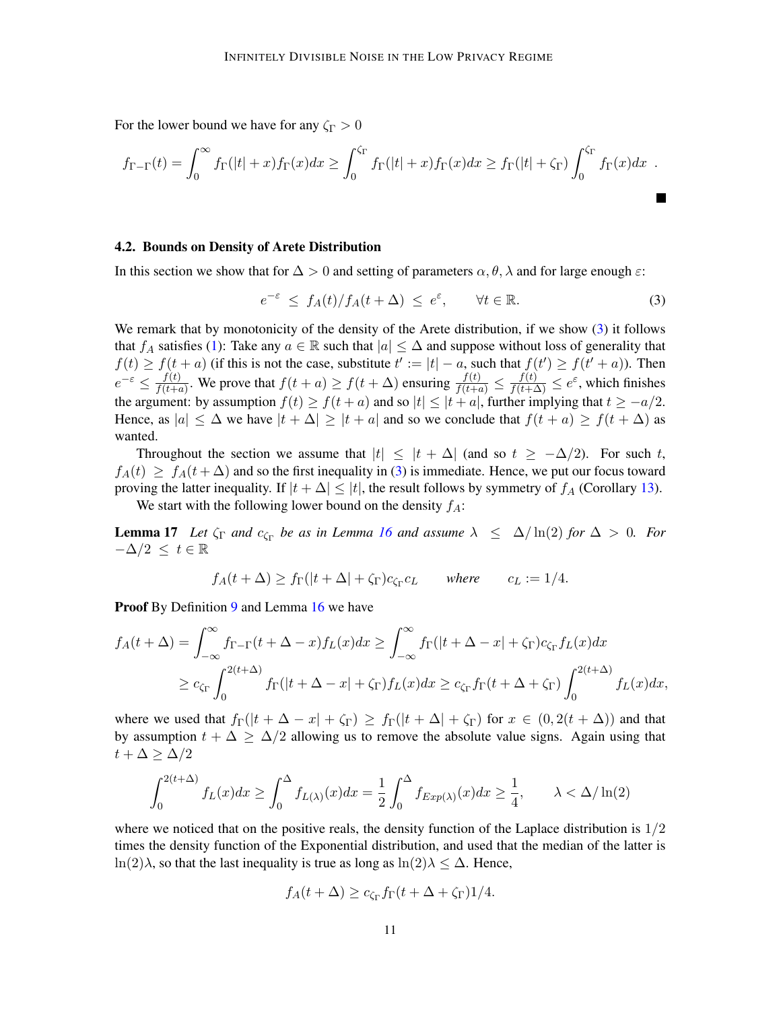For the lower bound we have for any  $\zeta_{\Gamma} > 0$ 

$$
f_{\Gamma-\Gamma}(t) = \int_0^\infty f_{\Gamma}(|t|+x) f_{\Gamma}(x) dx \ge \int_0^{\zeta_{\Gamma}} f_{\Gamma}(|t|+x) f_{\Gamma}(x) dx \ge f_{\Gamma}(|t|+\zeta_{\Gamma}) \int_0^{\zeta_{\Gamma}} f_{\Gamma}(x) dx .
$$

### <span id="page-10-2"></span>4.2. Bounds on Density of Arete Distribution

In this section we show that for  $\Delta > 0$  and setting of parameters  $\alpha, \theta, \lambda$  and for large enough  $\varepsilon$ :

<span id="page-10-0"></span>
$$
e^{-\varepsilon} \le f_A(t)/f_A(t+\Delta) \le e^{\varepsilon}, \qquad \forall t \in \mathbb{R}.
$$
 (3)

We remark that by monotonicity of the density of the Arete distribution, if we show [\(3\)](#page-10-0) it follows that  $f_A$  satisfies [\(1\)](#page-2-0): Take any  $a \in \mathbb{R}$  such that  $|a| \leq \Delta$  and suppose without loss of generality that  $f(t) \ge f(t+a)$  (if this is not the case, substitute  $t' := |t| - a$ , such that  $f(t') \ge f(t'+a)$ ). Then  $e^{-\varepsilon} \leq \frac{f(t)}{f(t)+c}$  $\frac{f(t)}{f(t+a)}$ . We prove that  $f(t+a) \ge f(t+\Delta)$  ensuring  $\frac{f(t)}{f(t+a)} \le \frac{f(t)}{f(t+\Delta)} \le e^{\epsilon}$ , which finishes the argument: by assumption  $f(t) \ge f(t+a)$  and so  $|t| \le |t+a|$ , further implying that  $t \ge -a/2$ . Hence, as  $|a| \leq \Delta$  we have  $|t + \Delta| \geq |t + a|$  and so we conclude that  $f(t + a) \geq f(t + \Delta)$  as wanted.

Throughout the section we assume that  $|t| \leq |t + \Delta|$  (and so  $t \geq -\Delta/2$ ). For such t,  $f_A(t) \geq f_A(t + \Delta)$  and so the first inequality in [\(3\)](#page-10-0) is immediate. Hence, we put our focus toward proving the latter inequality. If  $|t + \Delta| \leq |t|$ , the result follows by symmetry of  $f_A$  (Corollary [13\)](#page-7-2).

We start with the following lower bound on the density  $f_A$ :

**Lemma 17** Let  $\zeta_{\Gamma}$  and  $c_{\zeta_{\Gamma}}$  be as in Lemma [16](#page-9-2) and assume  $\lambda \leq \Delta/\ln(2)$  for  $\Delta > 0$ . For  $-\Delta/2 \leq t \in \mathbb{R}$ 

<span id="page-10-1"></span>
$$
f_A(t + \Delta) \ge f_\Gamma(|t + \Delta| + \zeta_\Gamma)c_{\zeta_\Gamma}c_L
$$
 where  $c_L := 1/4$ .

Proof By Definition [9](#page-6-0) and Lemma [16](#page-9-2) we have

$$
f_A(t + \Delta) = \int_{-\infty}^{\infty} f_{\Gamma - \Gamma}(t + \Delta - x) f_L(x) dx \ge \int_{-\infty}^{\infty} f_{\Gamma}(|t + \Delta - x| + \zeta_{\Gamma}) c_{\zeta_{\Gamma}} f_L(x) dx
$$
  

$$
\ge c_{\zeta_{\Gamma}} \int_{0}^{2(t + \Delta)} f_{\Gamma}(|t + \Delta - x| + \zeta_{\Gamma}) f_L(x) dx \ge c_{\zeta_{\Gamma}} f_{\Gamma}(t + \Delta + \zeta_{\Gamma}) \int_{0}^{2(t + \Delta)} f_L(x) dx,
$$

where we used that  $f_{\Gamma}(|t + \Delta - x| + \zeta_{\Gamma}) \geq f_{\Gamma}(|t + \Delta| + \zeta_{\Gamma})$  for  $x \in (0, 2(t + \Delta))$  and that by assumption  $t + \Delta \ge \Delta/2$  allowing us to remove the absolute value signs. Again using that  $t + \Delta \geq \Delta/2$ 

$$
\int_0^{2(t+\Delta)} f_L(x)dx \ge \int_0^{\Delta} f_{L(\lambda)}(x)dx = \frac{1}{2}\int_0^{\Delta} f_{Exp(\lambda)}(x)dx \ge \frac{1}{4}, \qquad \lambda < \Delta/\ln(2)
$$

where we noticed that on the positive reals, the density function of the Laplace distribution is  $1/2$ times the density function of the Exponential distribution, and used that the median of the latter is ln(2) $\lambda$ , so that the last inequality is true as long as ln(2) $\lambda \leq \Delta$ . Hence,

$$
f_A(t+\Delta) \ge c_{\zeta_{\Gamma}} f_{\Gamma}(t+\Delta+\zeta_{\Gamma})1/4.
$$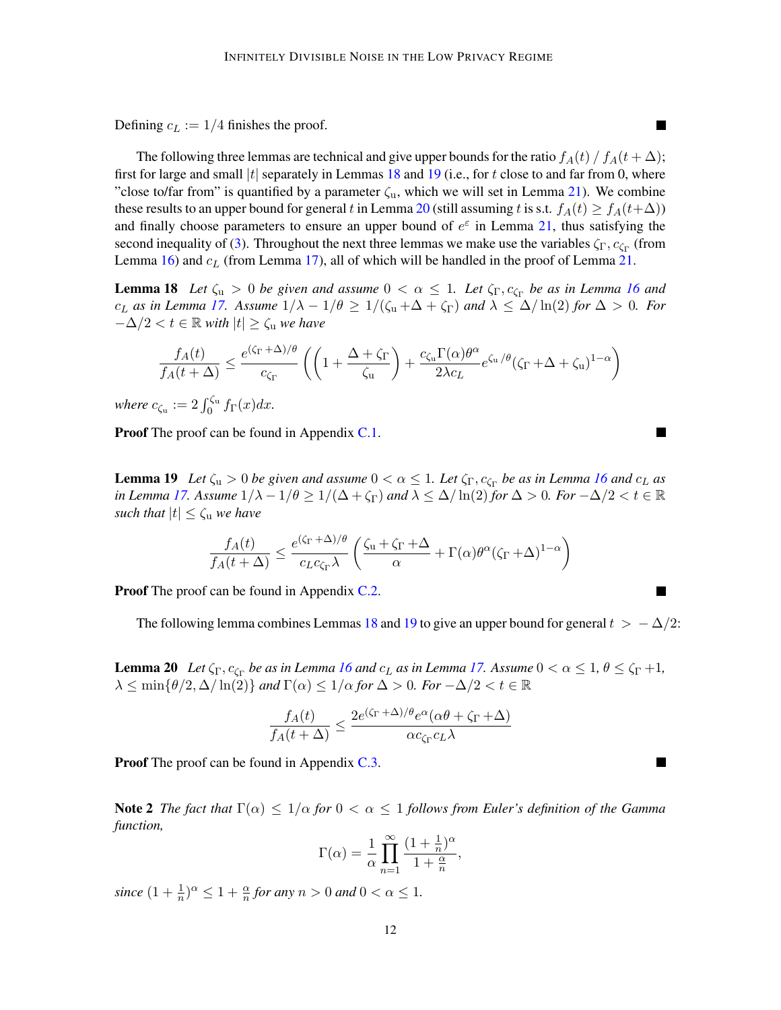Defining  $c_L := 1/4$  finishes the proof.

The following three lemmas are technical and give upper bounds for the ratio  $f_A(t) / f_A(t + \Delta)$ ; first for large and small  $|t|$  separately in Lemmas [18](#page-11-0) and [19](#page-11-1) (i.e., for t close to and far from 0, where "close to/far from" is quantified by a parameter  $\zeta_{\rm u}$ , which we will set in Lemma [21\)](#page-12-1). We combine these results to an upper bound for general t in Lemma [20](#page-11-2) (still assuming t is s.t.  $f_A(t) \ge f_A(t+\Delta)$ ) and finally choose parameters to ensure an upper bound of  $e^{\epsilon}$  in Lemma [21,](#page-12-1) thus satisfying the second inequality of [\(3\)](#page-10-0). Throughout the next three lemmas we make use the variables  $\zeta_{\Gamma}, c_{\zeta_{\Gamma}}$  (from Lemma  $16$ ) and  $c<sub>L</sub>$  (from Lemma [17\)](#page-10-1), all of which will be handled in the proof of Lemma [21.](#page-12-1)

**Lemma 18** Let  $\zeta_u > 0$  be given and assume  $0 < \alpha \leq 1$ . Let  $\zeta_{\Gamma}, c_{\zeta_{\Gamma}}$  be as in Lemma [16](#page-9-2) and  $c_L$  *as in Lemma [17.](#page-10-1)* Assume  $1/\lambda - 1/\theta \ge 1/(\zeta_u + \Delta + \zeta_{\Gamma})$  and  $\lambda \le \Delta/\ln(2)$  for  $\Delta > 0$ . For  $-\Delta/2 < t \in \mathbb{R}$  *with*  $|t| \geq \zeta$ <sub>u</sub> *we have* 

$$
\frac{f_A(t)}{f_A(t+\Delta)} \le \frac{e^{(\zeta_\Gamma+\Delta)/\theta}}{c_{\zeta_\Gamma}} \left( \left(1+\frac{\Delta+\zeta_\Gamma}{\zeta_\mathrm{u}}\right) + \frac{c_{\zeta_\mathrm{u}} \Gamma(\alpha) \theta^\alpha}{2\lambda c_L} e^{\zeta_\mathrm{u}/\theta} (\zeta_\Gamma+\Delta+\zeta_\mathrm{u})^{1-\alpha} \right)
$$

*where*  $c_{\zeta_u} := 2 \int_0^{\zeta_u} f_{\Gamma}(x) dx$ .

**Proof** The proof can be found in Appendix [C.1.](#page-21-0)

<span id="page-11-1"></span>**Lemma 19** Let  $\zeta_u > 0$  be given and assume  $0 < \alpha \leq 1$ . Let  $\zeta_{\Gamma}, c_{\zeta_{\Gamma}}$  be as in Lemma [16](#page-9-2) and  $c_L$  as *in Lemma* [17.](#page-10-1) Assume  $1/\lambda - 1/\theta \ge 1/(\Delta + \zeta_{\Gamma})$  and  $\lambda \le \Delta/\ln(2)$  for  $\Delta > 0$ . For  $-\Delta/2 < t \in \mathbb{R}$ *such that*  $|t| \leq \zeta_u$  *we have* 

$$
\frac{f_A(t)}{f_A(t+\Delta)} \le \frac{e^{(\zeta_\Gamma + \Delta)/\theta}}{c_L c_{\zeta_\Gamma} \lambda} \left( \frac{\zeta_\mathrm{u} + \zeta_\Gamma + \Delta}{\alpha} + \Gamma(\alpha) \theta^\alpha (\zeta_\Gamma + \Delta)^{1-\alpha} \right)
$$

**Proof** The proof can be found in Appendix [C.2.](#page-24-0)

<span id="page-11-2"></span>The following lemma combines Lemmas [18](#page-11-0) and [19](#page-11-1) to give an upper bound for general  $t > -\Delta/2$ :

**Lemma 20** Let  $\zeta_{\Gamma}, c_{\zeta_{\Gamma}}$  be as in Lemma [16](#page-9-2) and  $c_L$  as in Lemma [17.](#page-10-1) Assume  $0 < \alpha \leq 1$ ,  $\theta \leq \zeta_{\Gamma} + 1$ ,  $\lambda \leq \min\{\theta/2, \Delta/\ln(2)\}\$  *and*  $\Gamma(\alpha) \leq 1/\alpha$  for  $\Delta > 0$ *. For*  $-\Delta/2 < t \in \mathbb{R}$ 

$$
\frac{f_A(t)}{f_A(t+\Delta)} \le \frac{2e^{(\zeta_{\Gamma}+\Delta)/\theta}e^{\alpha}(\alpha\theta + \zeta_{\Gamma}+\Delta)}{\alpha c_{\zeta_{\Gamma}}c_L\lambda}
$$

**Proof** The proof can be found in Appendix [C.3.](#page-25-0)

**Note 2** *The fact that*  $\Gamma(\alpha) \leq 1/\alpha$  *for*  $0 < \alpha \leq 1$  *follows from Euler's definition of the Gamma function,*

$$
\Gamma(\alpha) = \frac{1}{\alpha} \prod_{n=1}^{\infty} \frac{(1 + \frac{1}{n})^{\alpha}}{1 + \frac{\alpha}{n}},
$$

since  $(1 + \frac{1}{n})^{\alpha} \leq 1 + \frac{\alpha}{n}$  for any  $n > 0$  and  $0 < \alpha \leq 1$ .

<span id="page-11-0"></span>L.

**The State** 

L.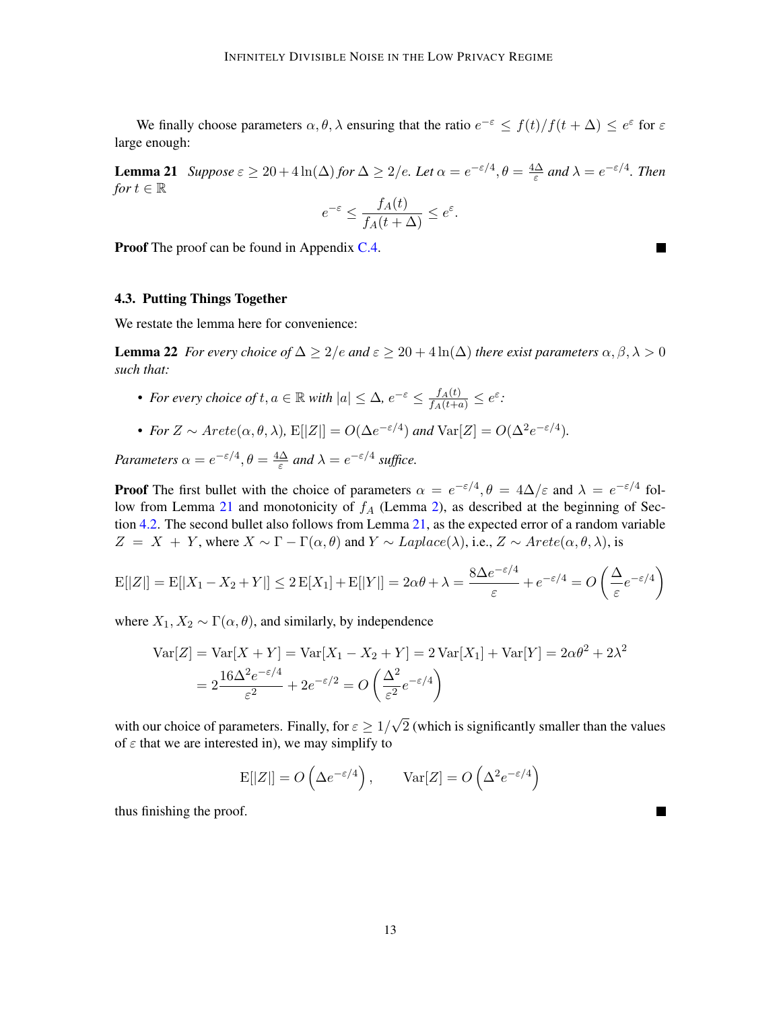<span id="page-12-1"></span>We finally choose parameters  $\alpha, \theta, \lambda$  ensuring that the ratio  $e^{-\epsilon} \leq f(t)/f(t + \Delta) \leq e^{\epsilon}$  for  $\epsilon$ large enough:

**Lemma 21** *Suppose*  $\varepsilon \geq 20 + 4 \ln(\Delta)$  *for*  $\Delta \geq 2/e$ *. Let*  $\alpha = e^{-\varepsilon/4}, \theta = \frac{4\Delta}{\varepsilon}$  $\frac{d\Delta}{\varepsilon}$  and  $\lambda = e^{-\varepsilon/4}$ . Then *for*  $t \in \mathbb{R}$ 

$$
e^{-\varepsilon} \le \frac{f_A(t)}{f_A(t+\Delta)} \le e^{\varepsilon}.
$$

a sa

**Proof** The proof can be found in Appendix [C.4.](#page-27-0)

#### <span id="page-12-0"></span>4.3. Putting Things Together

We restate the lemma here for convenience:

**Lemma 22** *For every choice of*  $\Delta \geq 2/e$  *and*  $\varepsilon \geq 20 + 4 \ln(\Delta)$  *there exist parameters*  $\alpha, \beta, \lambda > 0$ *such that:*

- For every choice of  $t, a \in \mathbb{R}$  with  $|a| \leq \Delta$ ,  $e^{-\varepsilon} \leq \frac{f_A(t)}{f_A(t+a)} \leq e^{\varepsilon}$ .
- For  $Z \sim A \text{rete}(\alpha, \theta, \lambda)$ ,  $E[|Z|] = O(\Delta e^{-\epsilon/4})$  and  $Var[Z] = O(\Delta^2 e^{-\epsilon/4})$ .

*Parameters*  $\alpha = e^{-\epsilon/4}, \theta = \frac{4\Delta}{\epsilon}$  $\frac{\Delta}{\varepsilon}$  and  $\lambda = e^{-\varepsilon/4}$  suffice.

**Proof** The first bullet with the choice of parameters  $\alpha = e^{-\epsilon/4}, \theta = 4\Delta/\epsilon$  and  $\lambda = e^{-\epsilon/4}$  fol-low from Lemma [21](#page-12-1) and monotonicity of  $f_A$  (Lemma [2\)](#page-2-2), as described at the beginning of Section [4.2.](#page-10-2) The second bullet also follows from Lemma [21,](#page-12-1) as the expected error of a random variable  $Z = X + Y$ , where  $X \sim \Gamma - \Gamma(\alpha, \theta)$  and  $Y \sim Laplace(\lambda)$ , i.e.,  $Z \sim Arete(\alpha, \theta, \lambda)$ , is

$$
E[|Z|] = E[|X_1 - X_2 + Y|] \le 2E[X_1] + E[|Y|] = 2\alpha\theta + \lambda = \frac{8\Delta e^{-\epsilon/4}}{\varepsilon} + e^{-\varepsilon/4} = O\left(\frac{\Delta}{\varepsilon}e^{-\varepsilon/4}\right)
$$

where  $X_1, X_2 \sim \Gamma(\alpha, \theta)$ , and similarly, by independence

$$
\begin{aligned} \text{Var}[Z] &= \text{Var}[X+Y] = \text{Var}[X_1 - X_2 + Y] = 2\,\text{Var}[X_1] + \text{Var}[Y] = 2\alpha\theta^2 + 2\lambda^2 \\ &= 2\frac{16\Delta^2 e^{-\varepsilon/4}}{\varepsilon^2} + 2e^{-\varepsilon/2} = O\left(\frac{\Delta^2}{\varepsilon^2}e^{-\varepsilon/4}\right) \end{aligned}
$$

with our choice of parameters. Finally, for  $\varepsilon \geq 1/2$ √ 2 (which is significantly smaller than the values of  $\varepsilon$  that we are interested in), we may simplify to

$$
\mathbf{E}[|Z|] = O\left(\Delta e^{-\varepsilon/4}\right), \qquad \text{Var}[Z] = O\left(\Delta^2 e^{-\varepsilon/4}\right)
$$

thus finishing the proof.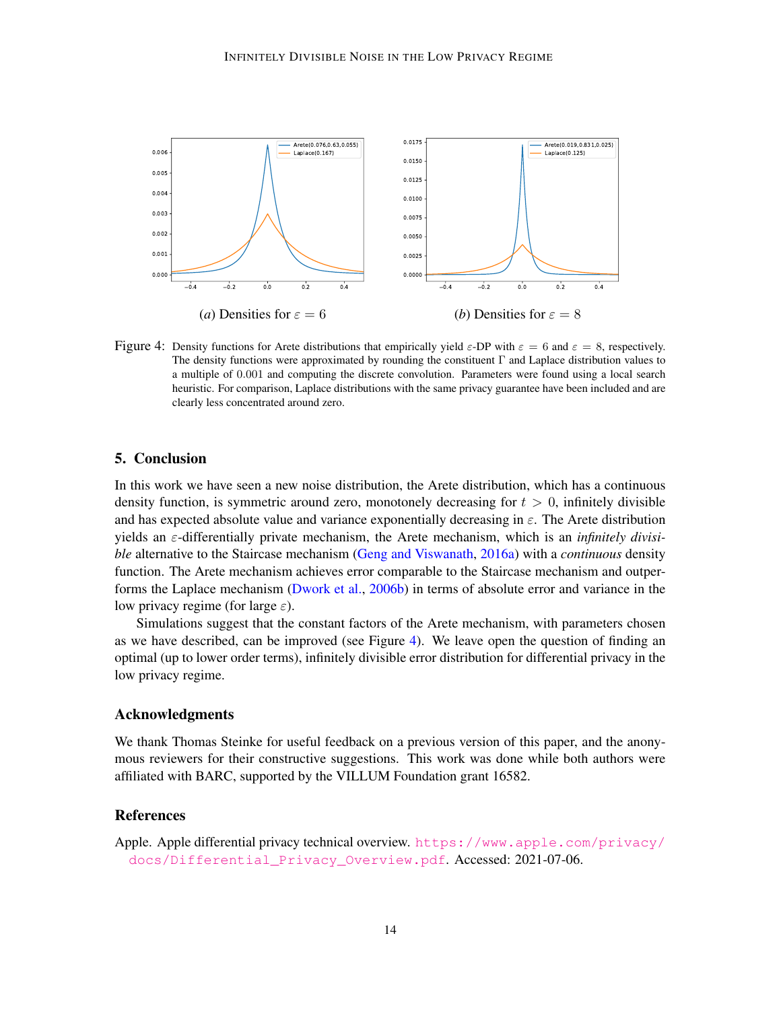

<span id="page-13-1"></span>Figure 4: Density functions for Arete distributions that empirically yield  $\varepsilon$ -DP with  $\varepsilon = 6$  and  $\varepsilon = 8$ , respectively. The density functions were approximated by rounding the constituent Γ and Laplace distribution values to a multiple of 0.001 and computing the discrete convolution. Parameters were found using a local search heuristic. For comparison, Laplace distributions with the same privacy guarantee have been included and are clearly less concentrated around zero.

### <span id="page-13-0"></span>5. Conclusion

In this work we have seen a new noise distribution, the Arete distribution, which has a continuous density function, is symmetric around zero, monotonely decreasing for  $t > 0$ , infinitely divisible and has expected absolute value and variance exponentially decreasing in  $\varepsilon$ . The Arete distribution yields an ε-differentially private mechanism, the Arete mechanism, which is an *infinitely divisible* alternative to the Staircase mechanism [\(Geng and Viswanath,](#page-15-1) [2016a\)](#page-15-1) with a *continuous* density function. The Arete mechanism achieves error comparable to the Staircase mechanism and outperforms the Laplace mechanism [\(Dwork et al.,](#page-15-4) [2006b\)](#page-15-4) in terms of absolute error and variance in the low privacy regime (for large  $\varepsilon$ ).

Simulations suggest that the constant factors of the Arete mechanism, with parameters chosen as we have described, can be improved (see Figure [4\)](#page-13-1). We leave open the question of finding an optimal (up to lower order terms), infinitely divisible error distribution for differential privacy in the low privacy regime.

### Acknowledgments

We thank Thomas Steinke for useful feedback on a previous version of this paper, and the anonymous reviewers for their constructive suggestions. This work was done while both authors were affiliated with BARC, supported by the VILLUM Foundation grant 16582.

## References

<span id="page-13-2"></span>Apple. Apple differential privacy technical overview. [https://www.apple.com/privacy/](https://www.apple.com/privacy/docs/Differential_Privacy_Overview.pdf) [docs/Differential\\_Privacy\\_Overview.pdf](https://www.apple.com/privacy/docs/Differential_Privacy_Overview.pdf). Accessed: 2021-07-06.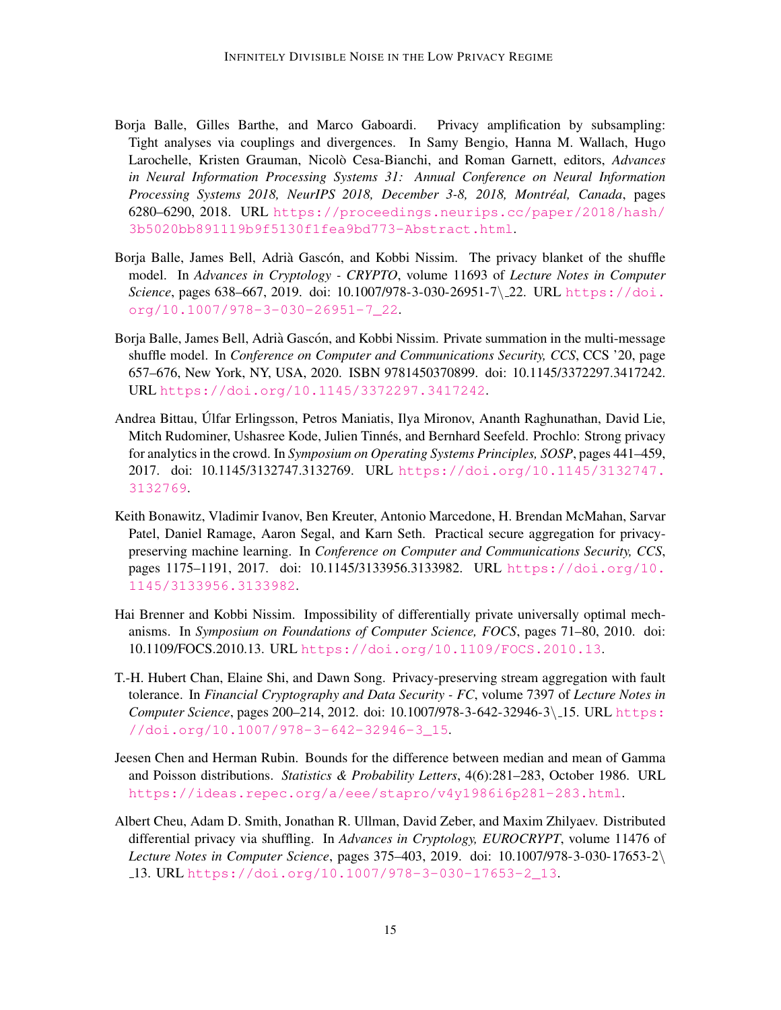- <span id="page-14-1"></span>Borja Balle, Gilles Barthe, and Marco Gaboardi. Privacy amplification by subsampling: Tight analyses via couplings and divergences. In Samy Bengio, Hanna M. Wallach, Hugo Larochelle, Kristen Grauman, Nicolo Cesa-Bianchi, and Roman Garnett, editors, ` *Advances in Neural Information Processing Systems 31: Annual Conference on Neural Information Processing Systems 2018, NeurIPS 2018, December 3-8, 2018, Montreal, Canada ´* , pages 6280–6290, 2018. URL [https://proceedings.neurips.cc/paper/2018/hash/](https://proceedings.neurips.cc/paper/2018/hash/3b5020bb891119b9f5130f1fea9bd773-Abstract.html) [3b5020bb891119b9f5130f1fea9bd773-Abstract.html](https://proceedings.neurips.cc/paper/2018/hash/3b5020bb891119b9f5130f1fea9bd773-Abstract.html).
- <span id="page-14-6"></span>Borja Balle, James Bell, Adrià Gascón, and Kobbi Nissim. The privacy blanket of the shuffle model. In *Advances in Cryptology - CRYPTO*, volume 11693 of *Lecture Notes in Computer Science*, pages 638–667, 2019. doi: 10.1007/978-3-030-26951-7\ 22. URL [https://doi.](https://doi.org/10.1007/978-3-030-26951-7_22) [org/10.1007/978-3-030-26951-7\\_22](https://doi.org/10.1007/978-3-030-26951-7_22).
- <span id="page-14-7"></span>Borja Balle, James Bell, Adrià Gascón, and Kobbi Nissim. Private summation in the multi-message shuffle model. In *Conference on Computer and Communications Security, CCS*, CCS '20, page 657–676, New York, NY, USA, 2020. ISBN 9781450370899. doi: 10.1145/3372297.3417242. URL <https://doi.org/10.1145/3372297.3417242>.
- <span id="page-14-5"></span>Andrea Bittau, Ulfar Erlingsson, Petros Maniatis, Ilya Mironov, Ananth Raghunathan, David Lie, ´ Mitch Rudominer, Ushasree Kode, Julien Tinnés, and Bernhard Seefeld. Prochlo: Strong privacy for analytics in the crowd. In *Symposium on Operating Systems Principles, SOSP*, pages 441–459, 2017. doi: 10.1145/3132747.3132769. URL [https://doi.org/10.1145/3132747.](https://doi.org/10.1145/3132747.3132769) [3132769](https://doi.org/10.1145/3132747.3132769).
- <span id="page-14-0"></span>Keith Bonawitz, Vladimir Ivanov, Ben Kreuter, Antonio Marcedone, H. Brendan McMahan, Sarvar Patel, Daniel Ramage, Aaron Segal, and Karn Seth. Practical secure aggregation for privacypreserving machine learning. In *Conference on Computer and Communications Security, CCS*, pages 1175–1191, 2017. doi: 10.1145/3133956.3133982. URL [https://doi.org/10.](https://doi.org/10.1145/3133956.3133982) [1145/3133956.3133982](https://doi.org/10.1145/3133956.3133982).
- <span id="page-14-2"></span>Hai Brenner and Kobbi Nissim. Impossibility of differentially private universally optimal mechanisms. In *Symposium on Foundations of Computer Science, FOCS*, pages 71–80, 2010. doi: 10.1109/FOCS.2010.13. URL <https://doi.org/10.1109/FOCS.2010.13>.
- <span id="page-14-4"></span>T.-H. Hubert Chan, Elaine Shi, and Dawn Song. Privacy-preserving stream aggregation with fault tolerance. In *Financial Cryptography and Data Security - FC*, volume 7397 of *Lecture Notes in Computer Science*, pages 200–214, 2012. doi: 10.1007/978-3-642-32946-3\15. URL [https:](https://doi.org/10.1007/978-3-642-32946-3_15) [//doi.org/10.1007/978-3-642-32946-3\\_15](https://doi.org/10.1007/978-3-642-32946-3_15).
- <span id="page-14-8"></span>Jeesen Chen and Herman Rubin. Bounds for the difference between median and mean of Gamma and Poisson distributions. *Statistics & Probability Letters*, 4(6):281–283, October 1986. URL <https://ideas.repec.org/a/eee/stapro/v4y1986i6p281-283.html>.
- <span id="page-14-3"></span>Albert Cheu, Adam D. Smith, Jonathan R. Ullman, David Zeber, and Maxim Zhilyaev. Distributed differential privacy via shuffling. In *Advances in Cryptology, EUROCRYPT*, volume 11476 of *Lecture Notes in Computer Science*, pages 375–403, 2019. doi: 10.1007/978-3-030-17653-2\ 13. URL [https://doi.org/10.1007/978-3-030-17653-2\\_13](https://doi.org/10.1007/978-3-030-17653-2_13).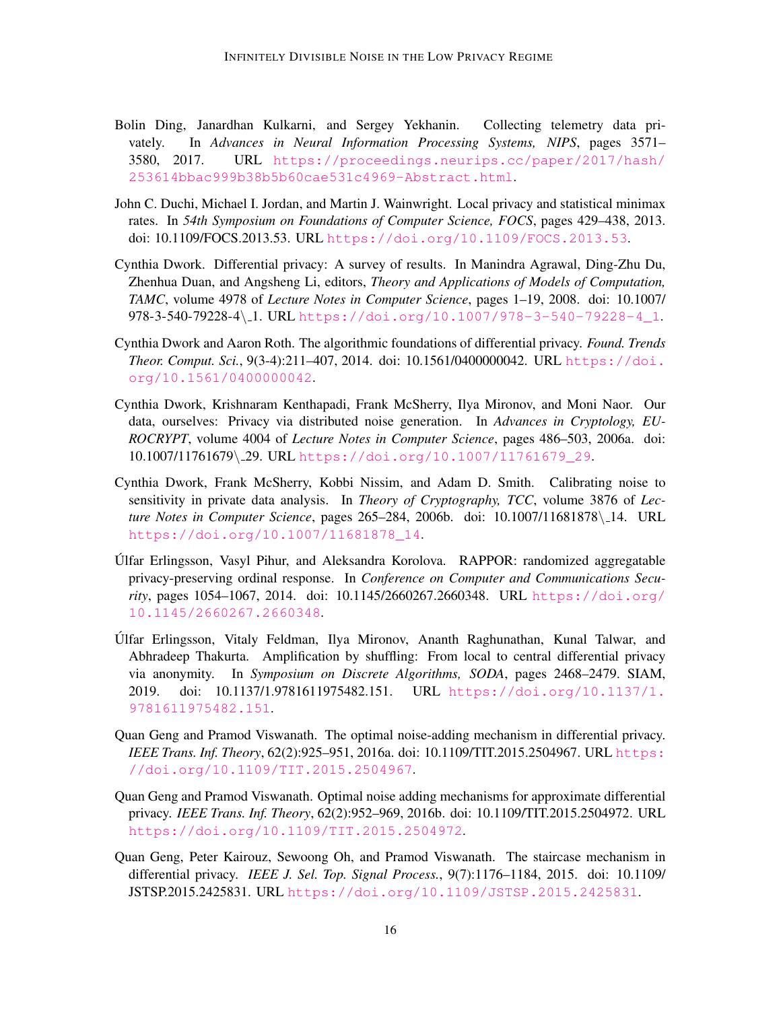- <span id="page-15-8"></span>Bolin Ding, Janardhan Kulkarni, and Sergey Yekhanin. Collecting telemetry data privately. In *Advances in Neural Information Processing Systems, NIPS*, pages 3571– 3580, 2017. URL [https://proceedings.neurips.cc/paper/2017/hash/](https://proceedings.neurips.cc/paper/2017/hash/253614bbac999b38b5b60cae531c4969-Abstract.html) [253614bbac999b38b5b60cae531c4969-Abstract.html](https://proceedings.neurips.cc/paper/2017/hash/253614bbac999b38b5b60cae531c4969-Abstract.html).
- <span id="page-15-6"></span>John C. Duchi, Michael I. Jordan, and Martin J. Wainwright. Local privacy and statistical minimax rates. In *54th Symposium on Foundations of Computer Science, FOCS*, pages 429–438, 2013. doi: 10.1109/FOCS.2013.53. URL <https://doi.org/10.1109/FOCS.2013.53>.
- <span id="page-15-9"></span>Cynthia Dwork. Differential privacy: A survey of results. In Manindra Agrawal, Ding-Zhu Du, Zhenhua Duan, and Angsheng Li, editors, *Theory and Applications of Models of Computation, TAMC*, volume 4978 of *Lecture Notes in Computer Science*, pages 1–19, 2008. doi: 10.1007/ 978-3-540-79228-4\ 1. URL [https://doi.org/10.1007/978-3-540-79228-4\\_1](https://doi.org/10.1007/978-3-540-79228-4_1).
- <span id="page-15-10"></span>Cynthia Dwork and Aaron Roth. The algorithmic foundations of differential privacy. *Found. Trends Theor. Comput. Sci.*, 9(3-4):211–407, 2014. doi: 10.1561/0400000042. URL [https://doi.](https://doi.org/10.1561/0400000042) [org/10.1561/0400000042](https://doi.org/10.1561/0400000042).
- <span id="page-15-5"></span>Cynthia Dwork, Krishnaram Kenthapadi, Frank McSherry, Ilya Mironov, and Moni Naor. Our data, ourselves: Privacy via distributed noise generation. In *Advances in Cryptology, EU-ROCRYPT*, volume 4004 of *Lecture Notes in Computer Science*, pages 486–503, 2006a. doi: 10.1007/11761679\ 29. URL [https://doi.org/10.1007/11761679\\_29](https://doi.org/10.1007/11761679_29).
- <span id="page-15-4"></span>Cynthia Dwork, Frank McSherry, Kobbi Nissim, and Adam D. Smith. Calibrating noise to sensitivity in private data analysis. In *Theory of Cryptography, TCC*, volume 3876 of *Lecture Notes in Computer Science*, pages 265–284, 2006b. doi: 10.1007/11681878\14. URL [https://doi.org/10.1007/11681878\\_14](https://doi.org/10.1007/11681878_14).
- <span id="page-15-7"></span>Ulfar Erlingsson, Vasyl Pihur, and Aleksandra Korolova. RAPPOR: randomized aggregatable ´ privacy-preserving ordinal response. In *Conference on Computer and Communications Security*, pages 1054–1067, 2014. doi: 10.1145/2660267.2660348. URL [https://doi.org/](https://doi.org/10.1145/2660267.2660348) [10.1145/2660267.2660348](https://doi.org/10.1145/2660267.2660348).
- <span id="page-15-2"></span>Ulfar Erlingsson, Vitaly Feldman, Ilya Mironov, Ananth Raghunathan, Kunal Talwar, and ´ Abhradeep Thakurta. Amplification by shuffling: From local to central differential privacy via anonymity. In *Symposium on Discrete Algorithms, SODA*, pages 2468–2479. SIAM, 2019. doi: 10.1137/1.9781611975482.151. URL [https://doi.org/10.1137/1.](https://doi.org/10.1137/1.9781611975482.151) [9781611975482.151](https://doi.org/10.1137/1.9781611975482.151).
- <span id="page-15-1"></span>Quan Geng and Pramod Viswanath. The optimal noise-adding mechanism in differential privacy. *IEEE Trans. Inf. Theory*, 62(2):925–951, 2016a. doi: 10.1109/TIT.2015.2504967. URL [https:](https://doi.org/10.1109/TIT.2015.2504967) [//doi.org/10.1109/TIT.2015.2504967](https://doi.org/10.1109/TIT.2015.2504967).
- <span id="page-15-3"></span>Quan Geng and Pramod Viswanath. Optimal noise adding mechanisms for approximate differential privacy. *IEEE Trans. Inf. Theory*, 62(2):952–969, 2016b. doi: 10.1109/TIT.2015.2504972. URL <https://doi.org/10.1109/TIT.2015.2504972>.
- <span id="page-15-0"></span>Quan Geng, Peter Kairouz, Sewoong Oh, and Pramod Viswanath. The staircase mechanism in differential privacy. *IEEE J. Sel. Top. Signal Process.*, 9(7):1176–1184, 2015. doi: 10.1109/ JSTSP.2015.2425831. URL <https://doi.org/10.1109/JSTSP.2015.2425831>.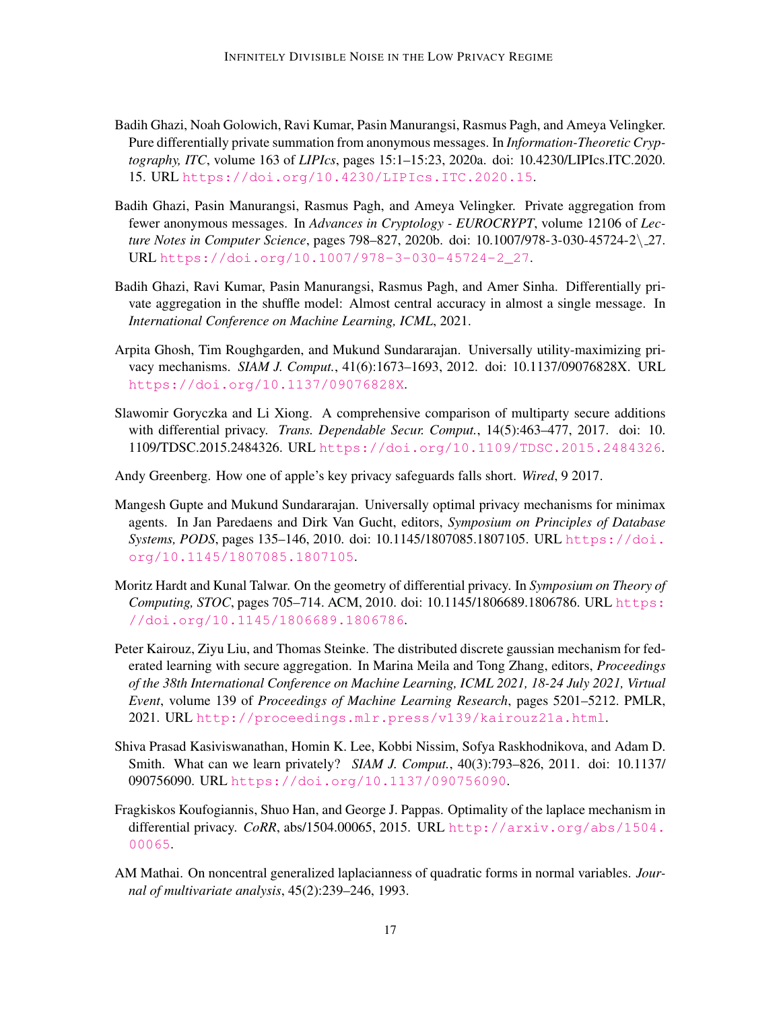- <span id="page-16-9"></span>Badih Ghazi, Noah Golowich, Ravi Kumar, Pasin Manurangsi, Rasmus Pagh, and Ameya Velingker. Pure differentially private summation from anonymous messages. In *Information-Theoretic Cryptography, ITC*, volume 163 of *LIPIcs*, pages 15:1–15:23, 2020a. doi: 10.4230/LIPIcs.ITC.2020. 15. URL <https://doi.org/10.4230/LIPIcs.ITC.2020.15>.
- <span id="page-16-11"></span>Badih Ghazi, Pasin Manurangsi, Rasmus Pagh, and Ameya Velingker. Private aggregation from fewer anonymous messages. In *Advances in Cryptology - EUROCRYPT*, volume 12106 of *Lecture Notes in Computer Science*, pages 798–827, 2020b. doi: 10.1007/978-3-030-45724-2\ 27. URL [https://doi.org/10.1007/978-3-030-45724-2\\_27](https://doi.org/10.1007/978-3-030-45724-2_27).
- <span id="page-16-10"></span>Badih Ghazi, Ravi Kumar, Pasin Manurangsi, Rasmus Pagh, and Amer Sinha. Differentially private aggregation in the shuffle model: Almost central accuracy in almost a single message. In *International Conference on Machine Learning, ICML*, 2021.
- <span id="page-16-4"></span>Arpita Ghosh, Tim Roughgarden, and Mukund Sundararajan. Universally utility-maximizing privacy mechanisms. *SIAM J. Comput.*, 41(6):1673–1693, 2012. doi: 10.1137/09076828X. URL <https://doi.org/10.1137/09076828X>.
- <span id="page-16-0"></span>Slawomir Goryczka and Li Xiong. A comprehensive comparison of multiparty secure additions with differential privacy. *Trans. Dependable Secur. Comput.*, 14(5):463–477, 2017. doi: 10. 1109/TDSC.2015.2484326. URL <https://doi.org/10.1109/TDSC.2015.2484326>.
- <span id="page-16-1"></span>Andy Greenberg. How one of apple's key privacy safeguards falls short. *Wired*, 9 2017.
- <span id="page-16-3"></span>Mangesh Gupte and Mukund Sundararajan. Universally optimal privacy mechanisms for minimax agents. In Jan Paredaens and Dirk Van Gucht, editors, *Symposium on Principles of Database Systems, PODS*, pages 135–146, 2010. doi: 10.1145/1807085.1807105. URL [https://doi.](https://doi.org/10.1145/1807085.1807105) [org/10.1145/1807085.1807105](https://doi.org/10.1145/1807085.1807105).
- <span id="page-16-2"></span>Moritz Hardt and Kunal Talwar. On the geometry of differential privacy. In *Symposium on Theory of Computing, STOC*, pages 705–714. ACM, 2010. doi: 10.1145/1806689.1806786. URL [https:](https://doi.org/10.1145/1806689.1806786) [//doi.org/10.1145/1806689.1806786](https://doi.org/10.1145/1806689.1806786).
- <span id="page-16-5"></span>Peter Kairouz, Ziyu Liu, and Thomas Steinke. The distributed discrete gaussian mechanism for federated learning with secure aggregation. In Marina Meila and Tong Zhang, editors, *Proceedings of the 38th International Conference on Machine Learning, ICML 2021, 18-24 July 2021, Virtual Event*, volume 139 of *Proceedings of Machine Learning Research*, pages 5201–5212. PMLR, 2021. URL <http://proceedings.mlr.press/v139/kairouz21a.html>.
- <span id="page-16-8"></span>Shiva Prasad Kasiviswanathan, Homin K. Lee, Kobbi Nissim, Sofya Raskhodnikova, and Adam D. Smith. What can we learn privately? *SIAM J. Comput.*, 40(3):793–826, 2011. doi: 10.1137/ 090756090. URL <https://doi.org/10.1137/090756090>.
- <span id="page-16-6"></span>Fragkiskos Koufogiannis, Shuo Han, and George J. Pappas. Optimality of the laplace mechanism in differential privacy. *CoRR*, abs/1504.00065, 2015. URL [http://arxiv.org/abs/1504.](http://arxiv.org/abs/1504.00065) [00065](http://arxiv.org/abs/1504.00065).
- <span id="page-16-7"></span>AM Mathai. On noncentral generalized laplacianness of quadratic forms in normal variables. *Journal of multivariate analysis*, 45(2):239–246, 1993.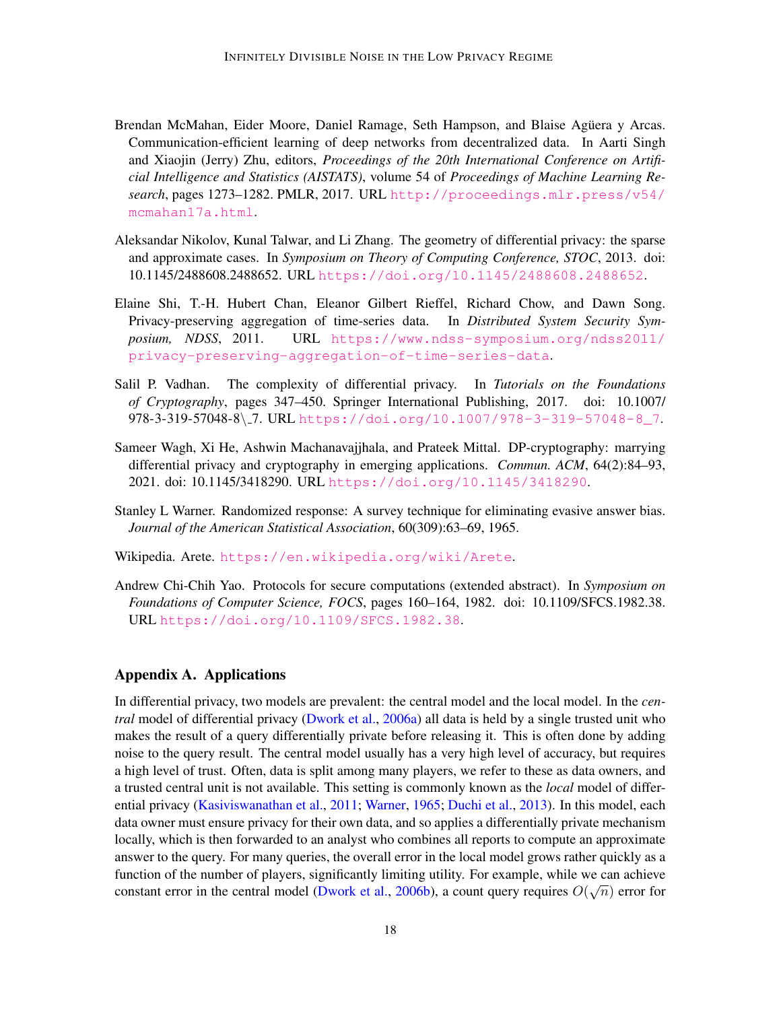- <span id="page-17-0"></span>Brendan McMahan, Eider Moore, Daniel Ramage, Seth Hampson, and Blaise Agüera y Arcas. Communication-efficient learning of deep networks from decentralized data. In Aarti Singh and Xiaojin (Jerry) Zhu, editors, *Proceedings of the 20th International Conference on Artificial Intelligence and Statistics (AISTATS)*, volume 54 of *Proceedings of Machine Learning Research*, pages 1273–1282. PMLR, 2017. URL [http://proceedings.mlr.press/v54/](http://proceedings.mlr.press/v54/mcmahan17a.html) [mcmahan17a.html](http://proceedings.mlr.press/v54/mcmahan17a.html).
- <span id="page-17-3"></span>Aleksandar Nikolov, Kunal Talwar, and Li Zhang. The geometry of differential privacy: the sparse and approximate cases. In *Symposium on Theory of Computing Conference, STOC*, 2013. doi: 10.1145/2488608.2488652. URL <https://doi.org/10.1145/2488608.2488652>.
- <span id="page-17-7"></span>Elaine Shi, T.-H. Hubert Chan, Eleanor Gilbert Rieffel, Richard Chow, and Dawn Song. Privacy-preserving aggregation of time-series data. In *Distributed System Security Symposium, NDSS*, 2011. URL [https://www.ndss-symposium.org/ndss2011/](https://www.ndss-symposium.org/ndss2011/privacy-preserving-aggregation-of-time-series-data) [privacy-preserving-aggregation-of-time-series-data](https://www.ndss-symposium.org/ndss2011/privacy-preserving-aggregation-of-time-series-data).
- <span id="page-17-8"></span>Salil P. Vadhan. The complexity of differential privacy. In *Tutorials on the Foundations of Cryptography*, pages 347–450. Springer International Publishing, 2017. doi: 10.1007/ 978-3-319-57048-8\ 7. URL [https://doi.org/10.1007/978-3-319-57048-8\\_7](https://doi.org/10.1007/978-3-319-57048-8_7).
- <span id="page-17-5"></span>Sameer Wagh, Xi He, Ashwin Machanavajjhala, and Prateek Mittal. DP-cryptography: marrying differential privacy and cryptography in emerging applications. *Commun. ACM*, 64(2):84–93, 2021. doi: 10.1145/3418290. URL <https://doi.org/10.1145/3418290>.
- <span id="page-17-4"></span>Stanley L Warner. Randomized response: A survey technique for eliminating evasive answer bias. *Journal of the American Statistical Association*, 60(309):63–69, 1965.
- <span id="page-17-2"></span>Wikipedia. Arete. <https://en.wikipedia.org/wiki/Arete>.
- <span id="page-17-6"></span>Andrew Chi-Chih Yao. Protocols for secure computations (extended abstract). In *Symposium on Foundations of Computer Science, FOCS*, pages 160–164, 1982. doi: 10.1109/SFCS.1982.38. URL <https://doi.org/10.1109/SFCS.1982.38>.

## <span id="page-17-1"></span>Appendix A. Applications

In differential privacy, two models are prevalent: the central model and the local model. In the *central* model of differential privacy [\(Dwork et al.,](#page-15-5) [2006a\)](#page-15-5) all data is held by a single trusted unit who makes the result of a query differentially private before releasing it. This is often done by adding noise to the query result. The central model usually has a very high level of accuracy, but requires a high level of trust. Often, data is split among many players, we refer to these as data owners, and a trusted central unit is not available. This setting is commonly known as the *local* model of differential privacy [\(Kasiviswanathan et al.,](#page-16-8) [2011;](#page-16-8) [Warner,](#page-17-4) [1965;](#page-17-4) [Duchi et al.,](#page-15-6) [2013\)](#page-15-6). In this model, each data owner must ensure privacy for their own data, and so applies a differentially private mechanism locally, which is then forwarded to an analyst who combines all reports to compute an approximate answer to the query. For many queries, the overall error in the local model grows rather quickly as a function of the number of players, significantly limiting utility. For example, while we can achieve constant error in the central model [\(Dwork et al.,](#page-15-4) [2006b\)](#page-15-4), a count query requires  $O(\sqrt{n})$  error for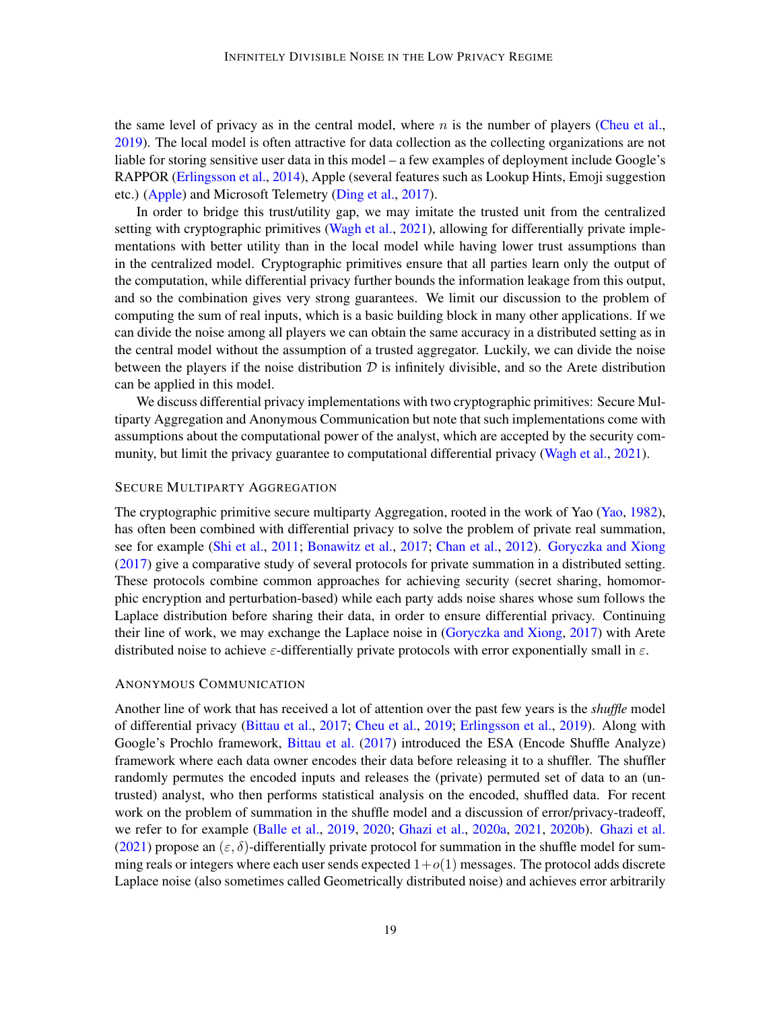the same level of privacy as in the central model, where  $n$  is the number of players [\(Cheu et al.,](#page-14-3) [2019\)](#page-14-3). The local model is often attractive for data collection as the collecting organizations are not liable for storing sensitive user data in this model – a few examples of deployment include Google's RAPPOR [\(Erlingsson et al.,](#page-15-7) [2014\)](#page-15-7), Apple (several features such as Lookup Hints, Emoji suggestion etc.) [\(Apple\)](#page-13-2) and Microsoft Telemetry [\(Ding et al.,](#page-15-8) [2017\)](#page-15-8).

In order to bridge this trust/utility gap, we may imitate the trusted unit from the centralized setting with cryptographic primitives [\(Wagh et al.,](#page-17-5) [2021\)](#page-17-5), allowing for differentially private implementations with better utility than in the local model while having lower trust assumptions than in the centralized model. Cryptographic primitives ensure that all parties learn only the output of the computation, while differential privacy further bounds the information leakage from this output, and so the combination gives very strong guarantees. We limit our discussion to the problem of computing the sum of real inputs, which is a basic building block in many other applications. If we can divide the noise among all players we can obtain the same accuracy in a distributed setting as in the central model without the assumption of a trusted aggregator. Luckily, we can divide the noise between the players if the noise distribution  $D$  is infinitely divisible, and so the Arete distribution can be applied in this model.

We discuss differential privacy implementations with two cryptographic primitives: Secure Multiparty Aggregation and Anonymous Communication but note that such implementations come with assumptions about the computational power of the analyst, which are accepted by the security com-munity, but limit the privacy guarantee to computational differential privacy [\(Wagh et al.,](#page-17-5) [2021\)](#page-17-5).

#### SECURE MULTIPARTY AGGREGATION

The cryptographic primitive secure multiparty Aggregation, rooted in the work of Yao [\(Yao,](#page-17-6) [1982\)](#page-17-6), has often been combined with differential privacy to solve the problem of private real summation, see for example [\(Shi et al.,](#page-17-7) [2011;](#page-17-7) [Bonawitz et al.,](#page-14-0) [2017;](#page-14-0) [Chan et al.,](#page-14-4) [2012\)](#page-14-4). [Goryczka and Xiong](#page-16-0) [\(2017\)](#page-16-0) give a comparative study of several protocols for private summation in a distributed setting. These protocols combine common approaches for achieving security (secret sharing, homomorphic encryption and perturbation-based) while each party adds noise shares whose sum follows the Laplace distribution before sharing their data, in order to ensure differential privacy. Continuing their line of work, we may exchange the Laplace noise in [\(Goryczka and Xiong,](#page-16-0) [2017\)](#page-16-0) with Arete distributed noise to achieve  $\varepsilon$ -differentially private protocols with error exponentially small in  $\varepsilon$ .

#### ANONYMOUS COMMUNICATION

Another line of work that has received a lot of attention over the past few years is the *shuffle* model of differential privacy [\(Bittau et al.,](#page-14-5) [2017;](#page-14-5) [Cheu et al.,](#page-14-3) [2019;](#page-14-3) [Erlingsson et al.,](#page-15-2) [2019\)](#page-15-2). Along with Google's Prochlo framework, [Bittau et al.](#page-14-5) [\(2017\)](#page-14-5) introduced the ESA (Encode Shuffle Analyze) framework where each data owner encodes their data before releasing it to a shuffler. The shuffler randomly permutes the encoded inputs and releases the (private) permuted set of data to an (untrusted) analyst, who then performs statistical analysis on the encoded, shuffled data. For recent work on the problem of summation in the shuffle model and a discussion of error/privacy-tradeoff, we refer to for example [\(Balle et al.,](#page-14-6) [2019,](#page-14-6) [2020;](#page-14-7) [Ghazi et al.,](#page-16-9) [2020a,](#page-16-9) [2021,](#page-16-10) [2020b\)](#page-16-11). [Ghazi et al.](#page-16-10) [\(2021\)](#page-16-10) propose an  $(\varepsilon, \delta)$ -differentially private protocol for summation in the shuffle model for summing reals or integers where each user sends expected  $1+o(1)$  messages. The protocol adds discrete Laplace noise (also sometimes called Geometrically distributed noise) and achieves error arbitrarily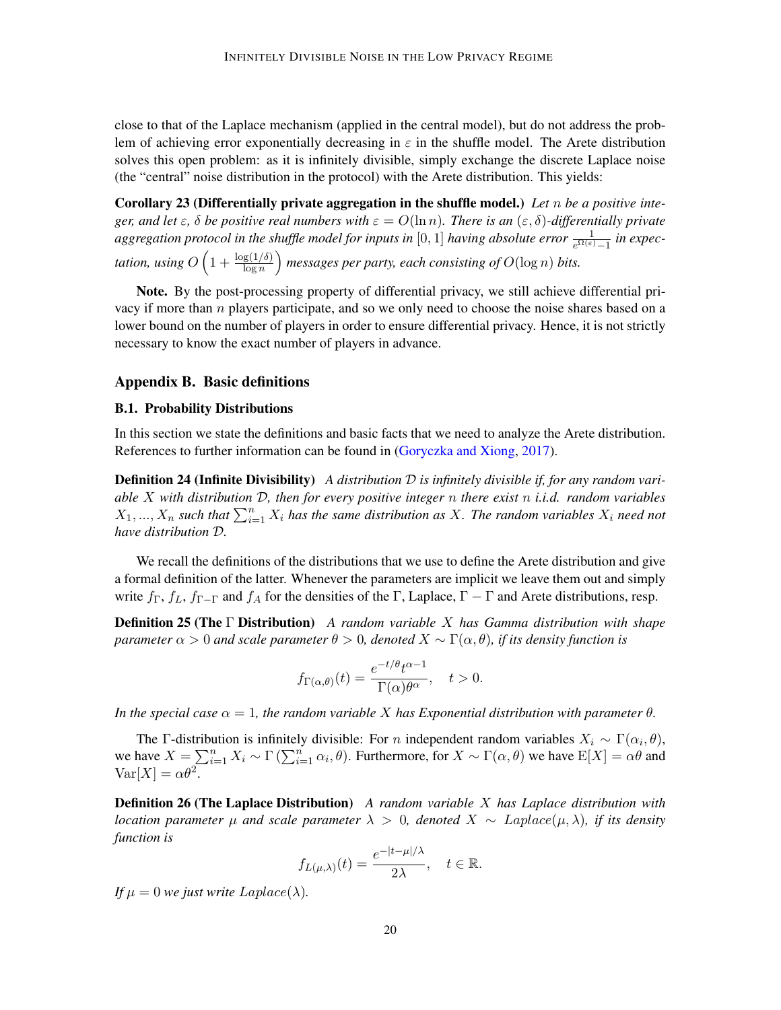close to that of the Laplace mechanism (applied in the central model), but do not address the problem of achieving error exponentially decreasing in  $\varepsilon$  in the shuffle model. The Arete distribution solves this open problem: as it is infinitely divisible, simply exchange the discrete Laplace noise (the "central" noise distribution in the protocol) with the Arete distribution. This yields:

Corollary 23 (Differentially private aggregation in the shuffle model.) *Let* n *be a positive integer, and let*  $\varepsilon$ ,  $\delta$  *be positive real numbers with*  $\varepsilon = O(\ln n)$ *. There is an*  $(\varepsilon, \delta)$ -differentially private  $aggregation$   $protocol$  in the shuffle model for inputs in  $[0,1]$  having absolute error  $\frac{1}{e^{\Omega(\varepsilon)}-1}$  in expectation, using  $O\left(1+\frac{\log(1/\delta)}{\log n}\right)$  messages per party, each consisting of  $O(\log n)$  bits.

Note. By the post-processing property of differential privacy, we still achieve differential privacy if more than  $n$  players participate, and so we only need to choose the noise shares based on a lower bound on the number of players in order to ensure differential privacy. Hence, it is not strictly necessary to know the exact number of players in advance.

### <span id="page-19-1"></span>Appendix B. Basic definitions

#### B.1. Probability Distributions

In this section we state the definitions and basic facts that we need to analyze the Arete distribution. References to further information can be found in [\(Goryczka and Xiong,](#page-16-0) [2017\)](#page-16-0).

Definition 24 (Infinite Divisibility) *A distribution* D *is infinitely divisible if, for any random variable* X *with distribution* D*, then for every positive integer* n *there exist* n *i.i.d. random variables*  $X_1, ..., X_n$  such that  $\sum_{i=1}^n X_i$  has the same distribution as X. The random variables  $X_i$  need not *have distribution* D*.*

We recall the definitions of the distributions that we use to define the Arete distribution and give a formal definition of the latter. Whenever the parameters are implicit we leave them out and simply write  $f_{\Gamma}$ ,  $f_{\Gamma}$ ,  $f_{\Gamma-\Gamma}$  and  $f_{A}$  for the densities of the Γ, Laplace,  $\Gamma-\Gamma$  and Arete distributions, resp.

Definition 25 (The Γ Distribution) *A random variable* X *has Gamma distribution with shape parameter*  $\alpha > 0$  *and scale parameter*  $\theta > 0$ *, denoted*  $X \sim \Gamma(\alpha, \theta)$ *, if its density function is* 

<span id="page-19-0"></span>
$$
f_{\Gamma(\alpha,\theta)}(t) = \frac{e^{-t/\theta}t^{\alpha-1}}{\Gamma(\alpha)\theta^{\alpha}}, \quad t > 0.
$$

*In the special case*  $\alpha = 1$ *, the random variable X has Exponential distribution with parameter*  $\theta$ *.* 

The Γ-distribution is infinitely divisible: For *n* independent random variables  $X_i \sim \Gamma(\alpha_i, \theta)$ , we have  $X = \sum_{i=1}^n X_i \sim \Gamma(\sum_{i=1}^n \alpha_i, \theta)$ . Furthermore, for  $X \sim \Gamma(\alpha, \theta)$  we have  $E[X] = \alpha \theta$  and  $\text{Var}[X] = \alpha \theta^2$ .

Definition 26 (The Laplace Distribution) *A random variable* X *has Laplace distribution with location parameter* µ *and scale parameter* λ > 0*, denoted* X ∼ Laplace(µ, λ)*, if its density function is*

$$
f_{L(\mu,\lambda)}(t) = \frac{e^{-|t-\mu|/\lambda}}{2\lambda}, \quad t \in \mathbb{R}.
$$

*If*  $\mu = 0$  *we just write*  $Laplace(\lambda)$ *.*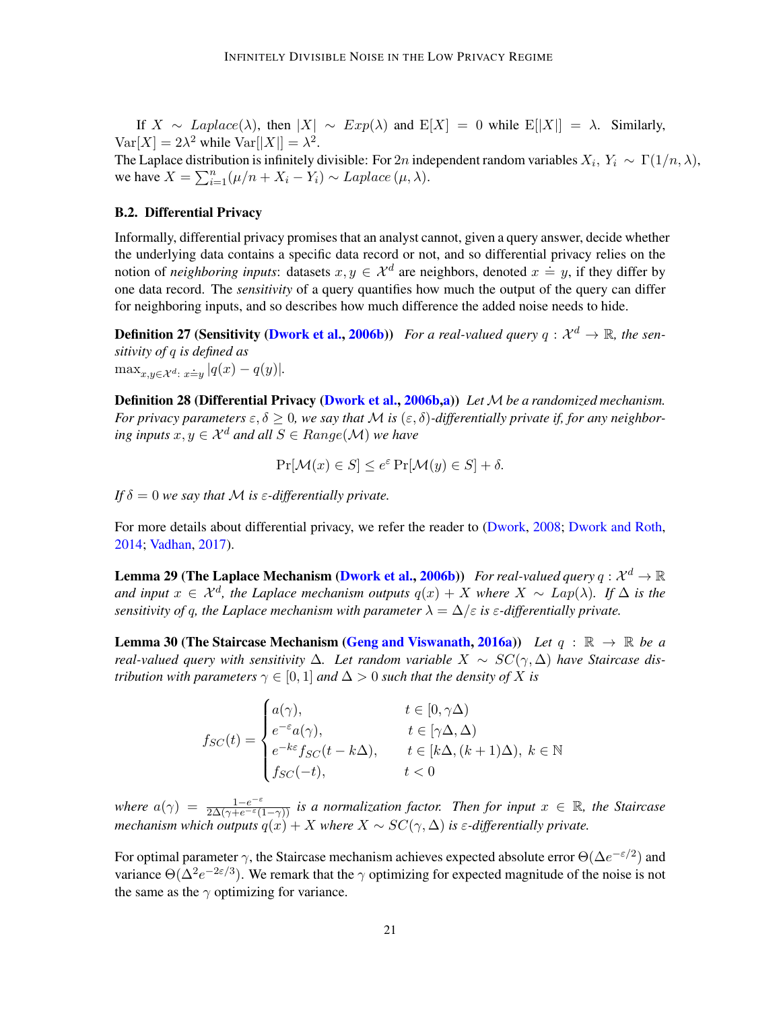If  $X \sim Laplace(\lambda)$ , then  $|X| \sim Exp(\lambda)$  and  $E[X] = 0$  while  $E[|X|] = \lambda$ . Similarly,  $\text{Var}[X] = 2\lambda^2$  while  $\text{Var}[|X|] = \lambda^2$ .

The Laplace distribution is infinitely divisible: For 2n independent random variables  $X_i$ ,  $Y_i \sim \Gamma(1/n, \lambda)$ , we have  $X = \sum_{i=1}^{n} (\mu/n + X_i - Y_i) \sim Laplace (\mu, \lambda)$ .

### <span id="page-20-1"></span>B.2. Differential Privacy

Informally, differential privacy promises that an analyst cannot, given a query answer, decide whether the underlying data contains a specific data record or not, and so differential privacy relies on the notion of *neighboring inputs*: datasets  $x, y \in \mathcal{X}^d$  are neighbors, denoted  $x \doteq y$ , if they differ by one data record. The *sensitivity* of a query quantifies how much the output of the query can differ for neighboring inputs, and so describes how much difference the added noise needs to hide.

**Definition 27 (Sensitivity [\(Dwork et al.,](#page-15-4) [2006b\)](#page-15-4))** For a real-valued query  $q: \mathcal{X}^d \to \mathbb{R}$ , the sen*sitivity of* q *is defined as*  $\max_{x,y\in\mathcal{X}^d\colon x\dot{=}y} |q(x)-q(y)|.$ 

Definition 28 (Differential Privacy [\(Dwork et al.,](#page-15-4) [2006b,](#page-15-4)[a\)](#page-15-5)) *Let* M be a randomized mechanism. *For privacy parameters*  $\epsilon, \delta \geq 0$ , we say that M is  $(\epsilon, \delta)$ -differentially private if, for any neighbor*ing inputs*  $x, y \in \mathcal{X}^d$  *and all*  $S \in Range(\mathcal{M})$  *we have* 

$$
\Pr[\mathcal{M}(x) \in S] \le e^{\varepsilon} \Pr[\mathcal{M}(y) \in S] + \delta.
$$

*If*  $\delta = 0$  *we say that M is*  $\varepsilon$ -differentially private.

For more details about differential privacy, we refer the reader to [\(Dwork,](#page-15-9) [2008;](#page-15-9) [Dwork and Roth,](#page-15-10) [2014;](#page-15-10) [Vadhan,](#page-17-8) [2017\)](#page-17-8).

**Lemma 29 (The Laplace Mechanism [\(Dwork et al.,](#page-15-4) [2006b\)](#page-15-4))** For real-valued query  $q: \mathcal{X}^d \to \mathbb{R}$ *and input*  $x \in \mathcal{X}^d$ , the Laplace mechanism outputs  $q(x) + X$  where  $X \sim Lap(\lambda)$ . If  $\Delta$  is the *sensitivity of q, the Laplace mechanism with parameter*  $\lambda = \Delta/\varepsilon$  *is*  $\varepsilon$ -differentially private.

<span id="page-20-0"></span>**Lemma 30 (The Staircase Mechanism [\(Geng and Viswanath,](#page-15-1) [2016a\)](#page-15-1))** Let  $q : \mathbb{R} \to \mathbb{R}$  be a *real-valued query with sensitivity*  $\Delta$ . Let random variable  $X \sim SC(\gamma, \Delta)$  have Staircase dis*tribution with parameters*  $\gamma \in [0, 1]$  *and*  $\Delta > 0$  *such that the density of* X *is* 

> $f_{SC}(t) =$  $\sqrt{ }$  $\int$  $\overline{\mathcal{L}}$  $a(\gamma)$ ,  $t \in [0, \gamma \Delta)$  $e^{-\varepsilon}a(\gamma),$   $t \in [\gamma \Delta, \Delta)$  $e^{-k\varepsilon}f_{SC}(t - k\Delta), \qquad t \in [k\Delta, (k+1)\Delta), \ k \in \mathbb{N}$  $f_{SC}(-t)$ ,  $t < 0$

where  $a(\gamma) = \frac{1-e^{-\varepsilon}}{2\Delta(\gamma+e^{-\varepsilon}(1-\gamma))}$  *is a normalization factor. Then for input*  $x \in \mathbb{R}$ *, the Staircase mechanism which outputs*  $q(x) + X$  *where*  $X \sim SC(\gamma, \Delta)$  *is*  $\varepsilon$ -differentially private.

For optimal parameter  $\gamma$ , the Staircase mechanism achieves expected absolute error  $\Theta(\Delta e^{-\epsilon/2})$  and variance  $\Theta(\Delta^2 e^{-2\varepsilon/3})$ . We remark that the  $\gamma$  optimizing for expected magnitude of the noise is not the same as the  $\gamma$  optimizing for variance.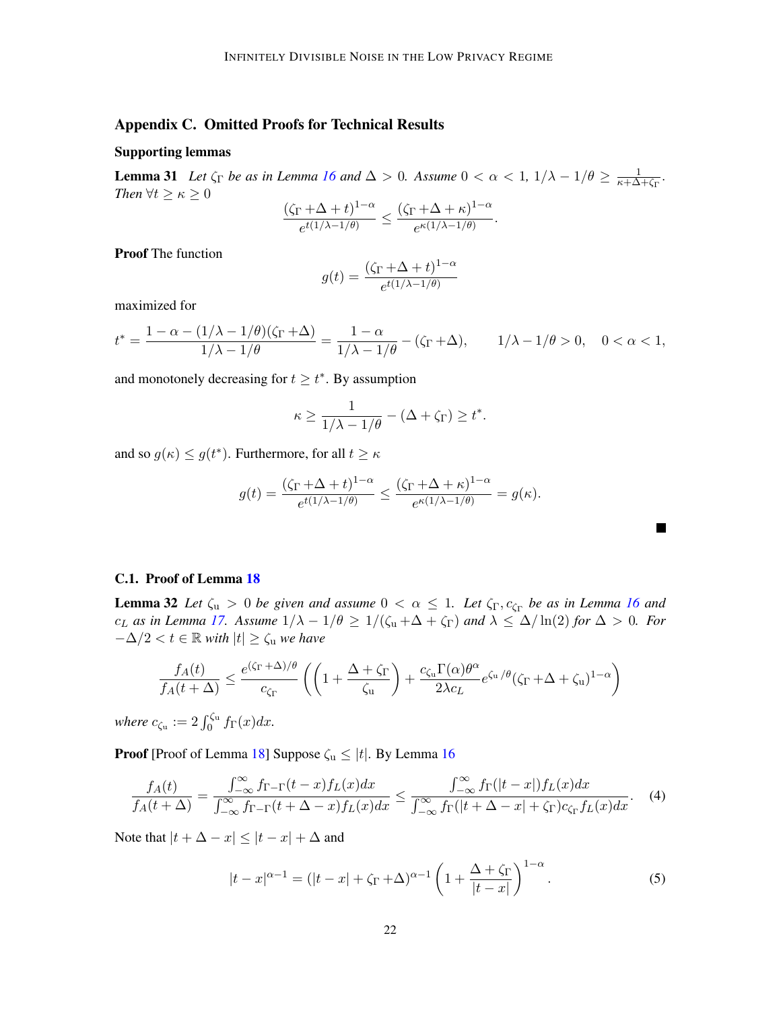## Appendix C. Omitted Proofs for Technical Results

### Supporting lemmas

<span id="page-21-3"></span>**Lemma 31** Let  $\zeta_{\Gamma}$  be as in Lemma [16](#page-9-2) and  $\Delta > 0$ . Assume  $0 < \alpha < 1$ ,  $1/\lambda - 1/\theta \ge \frac{1}{\kappa + \Delta}$  $\frac{1}{\kappa+\Delta+\zeta_\Gamma}.$ *Then*  $\forall t \geq \kappa \geq 0$ 

$$
\frac{(\zeta_{\Gamma}+\Delta+t)^{1-\alpha}}{e^{t(1/\lambda-1/\theta)}}\leq \frac{(\zeta_{\Gamma}+\Delta+\kappa)^{1-\alpha}}{e^{\kappa(1/\lambda-1/\theta)}}.
$$

Proof The function

$$
g(t) = \frac{(\zeta_{\Gamma} + \Delta + t)^{1-\alpha}}{e^{t(1/\lambda - 1/\theta)}}
$$

maximized for

$$
t^* = \frac{1 - \alpha - (1/\lambda - 1/\theta)(\zeta_{\Gamma} + \Delta)}{1/\lambda - 1/\theta} = \frac{1 - \alpha}{1/\lambda - 1/\theta} - (\zeta_{\Gamma} + \Delta), \qquad 1/\lambda - 1/\theta > 0, \quad 0 < \alpha < 1,
$$

and monotonely decreasing for  $t \geq t^*$ . By assumption

$$
\kappa \ge \frac{1}{1/\lambda - 1/\theta} - (\Delta + \zeta_{\Gamma}) \ge t^*.
$$

and so  $g(\kappa) \leq g(t^*)$ . Furthermore, for all  $t \geq \kappa$ 

$$
g(t) = \frac{(\zeta_{\Gamma} + \Delta + t)^{1-\alpha}}{e^{t(1/\lambda - 1/\theta)}} \le \frac{(\zeta_{\Gamma} + \Delta + \kappa)^{1-\alpha}}{e^{\kappa(1/\lambda - 1/\theta)}} = g(\kappa).
$$

<span id="page-21-2"></span><span id="page-21-1"></span>**In the Second** 

#### <span id="page-21-0"></span>C.1. Proof of Lemma [18](#page-11-0)

**Lemma 32** Let  $\zeta_u > 0$  be given and assume  $0 < \alpha \leq 1$ . Let  $\zeta_{\Gamma}, c_{\zeta_{\Gamma}}$  be as in Lemma [16](#page-9-2) and  $c_L$  *as in Lemma [17.](#page-10-1)* Assume  $1/\lambda - 1/\theta \ge 1/(\zeta_u + \Delta + \zeta_{\Gamma})$  and  $\lambda \le \Delta/\ln(2)$  for  $\Delta > 0$ *. For*  $-\Delta/2 < t \in \mathbb{R}$  *with*  $|t| \geq \zeta_u$  *we have* 

$$
\frac{f_A(t)}{f_A(t+\Delta)} \le \frac{e^{(\zeta_{\Gamma} + \Delta)/\theta}}{c_{\zeta_{\Gamma}}} \left( \left( 1 + \frac{\Delta + \zeta_{\Gamma}}{\zeta_u} \right) + \frac{c_{\zeta_u} \Gamma(\alpha) \theta^{\alpha}}{2\lambda c_L} e^{\zeta_u/\theta} (\zeta_{\Gamma} + \Delta + \zeta_u)^{1-\alpha} \right)
$$

*where*  $c_{\zeta_u} := 2 \int_0^{\zeta_u} f_{\Gamma}(x) dx$ .

**Proof** [Proof of Lemma [18\]](#page-11-0) Suppose  $\zeta_u \leq |t|$ . By Lemma [16](#page-9-2)

$$
\frac{f_A(t)}{f_A(t+\Delta)} = \frac{\int_{-\infty}^{\infty} f_{\Gamma-\Gamma}(t-x) f_L(x) dx}{\int_{-\infty}^{\infty} f_{\Gamma-\Gamma}(t+\Delta-x) f_L(x) dx} \le \frac{\int_{-\infty}^{\infty} f_{\Gamma}(|t-x|) f_L(x) dx}{\int_{-\infty}^{\infty} f_{\Gamma}(|t+\Delta-x| + \zeta_{\Gamma}) c_{\zeta_{\Gamma}} f_L(x) dx}.
$$
 (4)

Note that  $|t + \Delta - x| \leq |t - x| + \Delta$  and

$$
|t-x|^{\alpha-1} = (|t-x| + \zeta_{\Gamma} + \Delta)^{\alpha-1} \left(1 + \frac{\Delta + \zeta_{\Gamma}}{|t-x|}\right)^{1-\alpha}.
$$
 (5)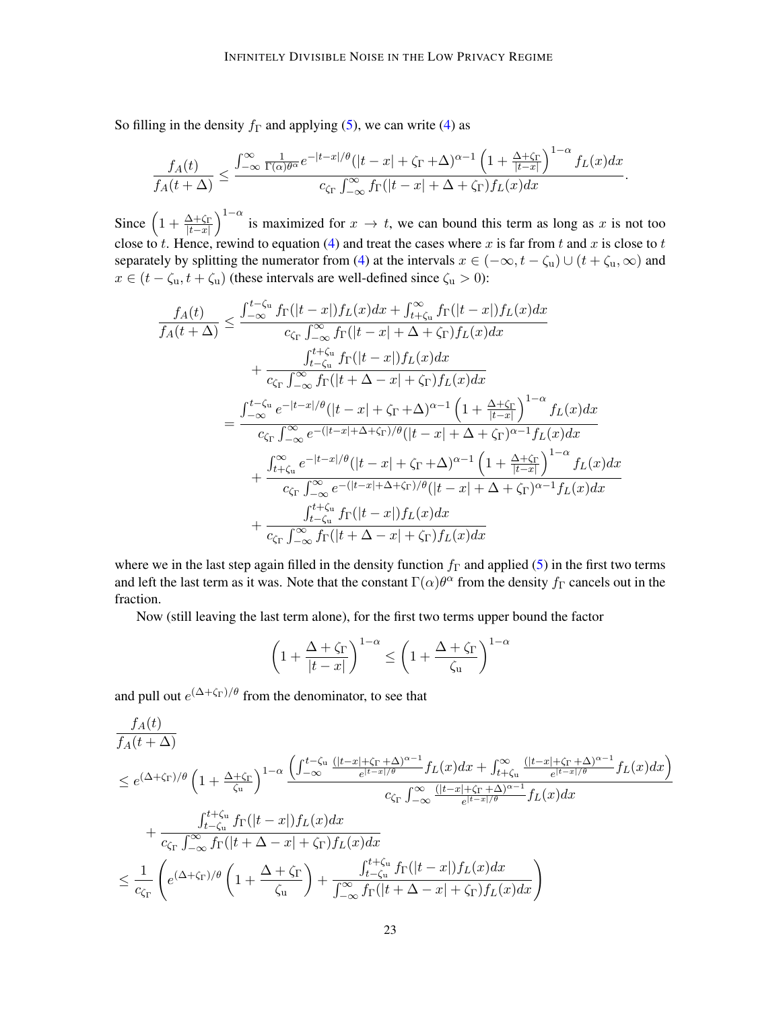So filling in the density  $f_{\Gamma}$  and applying [\(5\)](#page-21-1), we can write [\(4\)](#page-21-2) as

$$
\frac{f_A(t)}{f_A(t+\Delta)} \leq \frac{\int_{-\infty}^{\infty} \frac{1}{\Gamma(\alpha)\theta^{\alpha}} e^{-|t-x|/\theta} (|t-x|+\zeta_{\Gamma}+\Delta)^{\alpha-1} \left(1+\frac{\Delta+\zeta_{\Gamma}}{|t-x|}\right)^{1-\alpha} f_L(x) dx}{c_{\zeta_{\Gamma}} \int_{-\infty}^{\infty} f_{\Gamma}(|t-x|+\Delta+\zeta_{\Gamma}) f_L(x) dx}.
$$

Since  $\left(1+\frac{\Delta+\zeta_{\Gamma}}{|t-x|}\right)^{1-\alpha}$  is maximized for  $x \to t$ , we can bound this term as long as x is not too close to t. Hence, rewind to equation [\(4\)](#page-21-2) and treat the cases where x is far from t and x is close to t separately by splitting the numerator from [\(4\)](#page-21-2) at the intervals  $x \in (-\infty, t - \zeta_u) \cup (t + \zeta_u, \infty)$  and  $x \in (t - \zeta_u, t + \zeta_u)$  (these intervals are well-defined since  $\zeta_u > 0$ ):

$$
\frac{f_A(t)}{f_A(t+\Delta)} \leq \frac{\int_{-\infty}^{t-\zeta_u} f_{\Gamma}(|t-x|) f_L(x) dx + \int_{t+\zeta_u}^{\infty} f_{\Gamma}(|t-x|) f_L(x) dx}{c_{\zeta_{\Gamma}} \int_{-\infty}^{\infty} f_{\Gamma}(|t-x| + \Delta + \zeta_{\Gamma}) f_L(x) dx} \n+ \frac{\int_{t+\zeta_u}^{t+\zeta_u} f_{\Gamma}(|t-x|) f_L(x) dx}{c_{\zeta_{\Gamma}} \int_{-\infty}^{\infty} f_{\Gamma}(|t+\Delta-x| + \zeta_{\Gamma}) f_L(x) dx} \n= \frac{\int_{-\infty}^{t-\zeta_u} e^{-|t-x|/\theta} (|t-x| + \zeta_{\Gamma} + \Delta)^{\alpha-1} \left(1 + \frac{\Delta + \zeta_{\Gamma}}{|t-x|}\right)^{1-\alpha} f_L(x) dx}{c_{\zeta_{\Gamma}} \int_{-\infty}^{\infty} e^{-(|t-x| + \Delta + \zeta_{\Gamma})/\theta} (|t-x| + \Delta + \zeta_{\Gamma})^{\alpha-1} f_L(x) dx} \n+ \frac{\int_{t+\zeta_u}^{\infty} e^{-|t-x|/\theta} (|t-x| + \zeta_{\Gamma} + \Delta)^{\alpha-1} \left(1 + \frac{\Delta + \zeta_{\Gamma}}{|t-x|}\right)^{1-\alpha} f_L(x) dx}{c_{\zeta_{\Gamma}} \int_{-\infty}^{\infty} e^{-(|t-x| + \Delta + \zeta_{\Gamma})/\theta} (|t-x| + \Delta + \zeta_{\Gamma})^{\alpha-1} f_L(x) dx} \n+ \frac{\int_{t+\zeta_u}^{t+\zeta_u} f_{\Gamma}(|t-x|) f_L(x) dx}{c_{\zeta_{\Gamma}} \int_{-\infty}^{\infty} f_{\Gamma}(|t+\Delta-x| + \zeta_{\Gamma}) f_L(x) dx}
$$

where we in the last step again filled in the density function  $f_{\Gamma}$  and applied [\(5\)](#page-21-1) in the first two terms and left the last term as it was. Note that the constant  $\Gamma(\alpha)\theta^{\alpha}$  from the density  $f_{\Gamma}$  cancels out in the fraction.

Now (still leaving the last term alone), for the first two terms upper bound the factor

$$
\left(1 + \frac{\Delta + \zeta_{\Gamma}}{|t - x|}\right)^{1 - \alpha} \le \left(1 + \frac{\Delta + \zeta_{\Gamma}}{\zeta_{\mathbf{u}}}\right)^{1 - \alpha}
$$

and pull out  $e^{(\Delta + \zeta_{\Gamma})/\theta}$  from the denominator, to see that

$$
\frac{f_A(t)}{f_A(t+\Delta)}
$$
\n
$$
\leq e^{(\Delta+\zeta_{\Gamma})/\theta} \left(1+\frac{\Delta+\zeta_{\Gamma}}{\zeta_{\mathbf{u}}}\right)^{1-\alpha} \frac{\left(\int_{-\infty}^{t-\zeta_{\mathbf{u}}} \frac{(|t-x|+\zeta_{\Gamma}+\Delta)^{\alpha-1}}{e^{|t-x|/\theta}} f_L(x) dx + \int_{t+\zeta_{\mathbf{u}}}^{\infty} \frac{(|t-x|+\zeta_{\Gamma}+\Delta)^{\alpha-1}}{e^{|t-x|/\theta}} f_L(x) dx\right)}{c_{\zeta_{\Gamma}} \int_{-\infty}^{\infty} \frac{(|t-x|+\zeta_{\Gamma}+\Delta)^{\alpha-1}}{e^{|t-x|/\theta}} f_L(x) dx}
$$
\n
$$
+ \frac{\int_{t-\zeta_{\mathbf{u}}}^{t+\zeta_{\mathbf{u}}} f_{\Gamma}(|t-x|) f_L(x) dx}{c_{\zeta_{\Gamma}} \int_{-\infty}^{\infty} f_{\Gamma}(|t+\Delta-x|+\zeta_{\Gamma}) f_L(x) dx}
$$
\n
$$
\leq \frac{1}{c_{\zeta_{\Gamma}}} \left(e^{(\Delta+\zeta_{\Gamma})/\theta} \left(1+\frac{\Delta+\zeta_{\Gamma}}{\zeta_{\mathbf{u}}}\right) + \frac{\int_{t-\zeta_{\mathbf{u}}}^{t+\zeta_{\mathbf{u}}} f_{\Gamma}(|t-x|) f_L(x) dx}{\int_{-\infty}^{\infty} f_{\Gamma}(|t+\Delta-x|+\zeta_{\Gamma}) f_L(x) dx}\right)
$$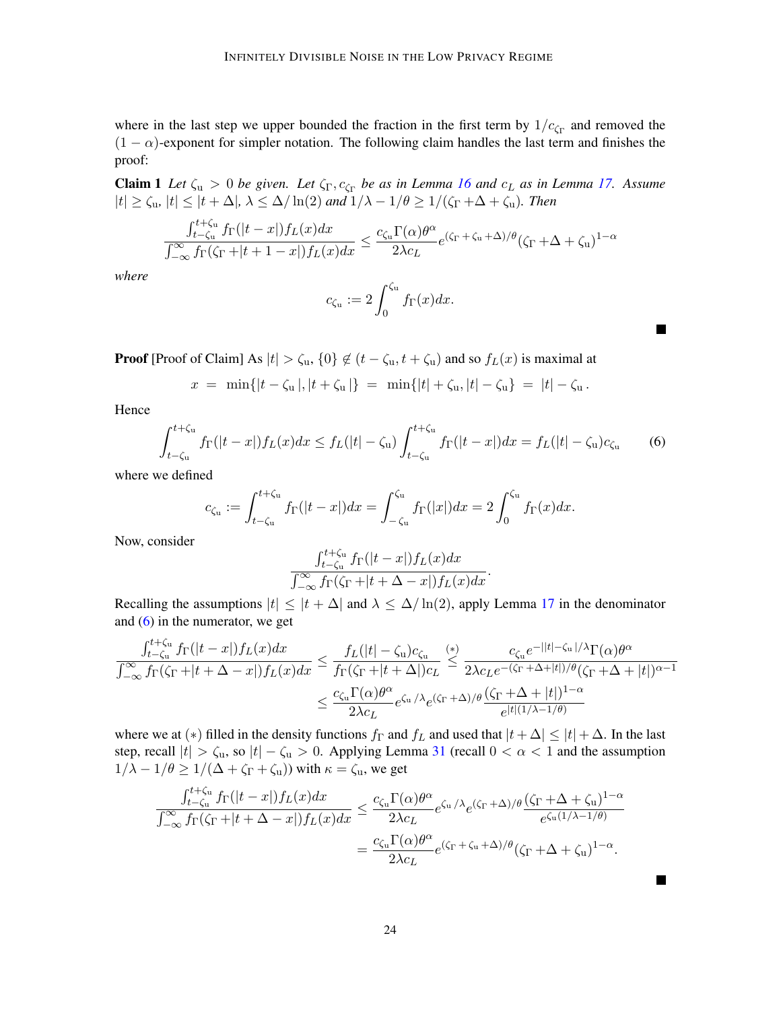where in the last step we upper bounded the fraction in the first term by  $1/c_{\text{Cr}}$  and removed the  $(1 - \alpha)$ -exponent for simpler notation. The following claim handles the last term and finishes the proof:

**Claim 1** Let  $\zeta_u > 0$  be given. Let  $\zeta_{\Gamma}, c_{\zeta_{\Gamma}}$  be as in Lemma [16](#page-9-2) and  $c_L$  as in Lemma [17.](#page-10-1) Assume  $|t| \geq \zeta_u$ ,  $|t| \leq |t + \Delta|$ ,  $\lambda \leq \Delta/\ln(2)$  and  $1/\lambda - 1/\theta \geq 1/(\zeta_\Gamma + \Delta + \zeta_u)$ *. Then* 

$$
\frac{\int_{t-\zeta_u}^{t+\zeta_u} f_{\Gamma}(|t-x|) f_L(x) dx}{\int_{-\infty}^{\infty} f_{\Gamma}(\zeta_{\Gamma} + |t+1-x|) f_L(x) dx} \leq \frac{c_{\zeta_u} \Gamma(\alpha) \theta^{\alpha}}{2\lambda c_L} e^{(\zeta_{\Gamma} + \zeta_u + \Delta)/\theta} (\zeta_{\Gamma} + \Delta + \zeta_u)^{1-\alpha}
$$

*where*

 $\mathbf{r}$ 

$$
c_{\zeta_{\mathfrak{u}}} := 2 \int_0^{\zeta_{\mathfrak{u}}} f_{\Gamma}(x) dx.
$$

**Proof** [Proof of Claim] As  $|t| > \zeta_u$ ,  $\{0\} \notin (t - \zeta_u, t + \zeta_u)$  and so  $f_L(x)$  is maximal at

$$
x = \min\{|t - \zeta_u|, |t + \zeta_u|\} = \min\{|t| + \zeta_u, |t| - \zeta_u\} = |t| - \zeta_u.
$$

Hence

$$
\int_{t-\zeta_u}^{t+\zeta_u} f_{\Gamma}(|t-x|) f_L(x) dx \le f_L(|t|-\zeta_u) \int_{t-\zeta_u}^{t+\zeta_u} f_{\Gamma}(|t-x|) dx = f_L(|t|-\zeta_u) c_{\zeta_u} \tag{6}
$$

<span id="page-23-0"></span>п

**The Second Second** 

where we defined

$$
c_{\zeta_{\mathbf{u}}} := \int_{t-\zeta_{\mathbf{u}}}^{t+\zeta_{\mathbf{u}}} f_{\Gamma}(|t-x|) dx = \int_{-\zeta_{\mathbf{u}}}^{\zeta_{\mathbf{u}}} f_{\Gamma}(|x|) dx = 2 \int_{0}^{\zeta_{\mathbf{u}}} f_{\Gamma}(x) dx.
$$

Now, consider

 $2 + 17$ 

$$
\frac{\int_{t-\zeta_{\mathbf{u}}}^{t+\zeta_{\mathbf{u}}} f_{\Gamma}(|t-x|) f_L(x) dx}{\int_{-\infty}^{\infty} f_{\Gamma}(\zeta_{\Gamma}+|t+\Delta-x|) f_L(x) dx}.
$$

Recalling the assumptions  $|t| \le |t + \Delta|$  and  $\lambda \le \Delta/\ln(2)$ , apply Lemma [17](#page-10-1) in the denominator and [\(6\)](#page-23-0) in the numerator, we get

$$
\frac{\int_{t-\zeta_{\mathrm{u}}}^{t+\zeta_{\mathrm{u}}}f_{\Gamma}(|t-x|)f_{L}(x)dx}{\int_{-\infty}^{\infty}f_{\Gamma}(\zeta_{\Gamma}+|t+\Delta-x|)f_{L}(x)dx} \leq \frac{f_{L}(|t|-\zeta_{\mathrm{u}})c_{\zeta_{\mathrm{u}}}}{f_{\Gamma}(\zeta_{\Gamma}+|t+\Delta|)c_{L}} \leq \frac{c_{\zeta_{\mathrm{u}}}e^{-||t|-\zeta_{\mathrm{u}}|/\lambda}\Gamma(\alpha)\theta^{\alpha}}{2\lambda c_{L}e^{-(\zeta_{\Gamma}+\Delta+|t|)/\theta}(\zeta_{\Gamma}+\Delta+|t|)^{\alpha-1}} \\ \leq \frac{c_{\zeta_{\mathrm{u}}} \Gamma(\alpha)\theta^{\alpha}}{2\lambda c_{L}}e^{\zeta_{\mathrm{u}}/\lambda}e^{(\zeta_{\Gamma}+\Delta)/\theta}\frac{(\zeta_{\Gamma}+\Delta+|t|)^{1-\alpha}}{e^{|t| (1/\lambda-1/\theta)}}
$$

where we at (\*) filled in the density functions  $f_{\Gamma}$  and  $f_L$  and used that  $|t + \Delta| \leq |t| + \Delta$ . In the last step, recall  $|t| > \zeta_u$ , so  $|t| - \zeta_u > 0$ . Applying Lemma [31](#page-21-3) (recall  $0 < \alpha < 1$  and the assumption  $1/\lambda - 1/\theta \ge 1/(\Delta + \zeta_{\Gamma} + \zeta_{\mu})$  with  $\kappa = \zeta_{\mu}$ , we get

$$
\frac{\int_{t-\zeta_u}^{t+\zeta_u} f_{\Gamma}(|t-x|) f_L(x) dx}{\int_{-\infty}^{\infty} f_{\Gamma}(\zeta_{\Gamma}+|t+\Delta-x|) f_L(x) dx} \leq \frac{c_{\zeta_u} \Gamma(\alpha) \theta^{\alpha}}{2\lambda c_L} e^{\zeta_u/\lambda} e^{(\zeta_{\Gamma}+\Delta)/\theta} \frac{(\zeta_{\Gamma}+\Delta+\zeta_u)^{1-\alpha}}{e^{\zeta_u(1/\lambda-1/\theta)}} \\
= \frac{c_{\zeta_u} \Gamma(\alpha) \theta^{\alpha}}{2\lambda c_L} e^{(\zeta_{\Gamma}+\zeta_u+\Delta)/\theta} (\zeta_{\Gamma}+\Delta+\zeta_u)^{1-\alpha}.
$$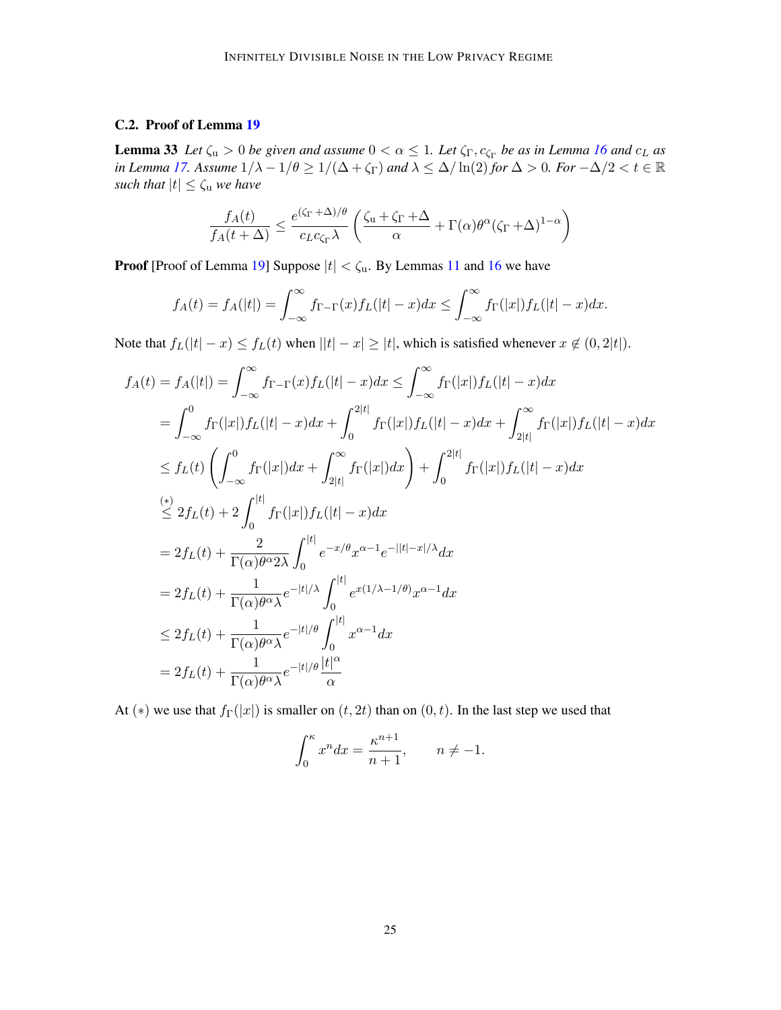## <span id="page-24-0"></span>C.2. Proof of Lemma [19](#page-11-1)

**Lemma 33** Let  $\zeta_u > 0$  be given and assume  $0 < \alpha \leq 1$ . Let  $\zeta_{\Gamma}, c_{\zeta_{\Gamma}}$  be as in Lemma [16](#page-9-2) and  $c_L$  as *in Lemma* [17.](#page-10-1) Assume  $1/\lambda - 1/\theta \ge 1/(\Delta + \zeta_{\Gamma})$  and  $\lambda \le \Delta/\ln(2)$  *for*  $\Delta > 0$ *. For*  $-\Delta/2 < t \in \mathbb{R}$ *such that*  $|t| \leq \zeta_u$  *we have* 

$$
\frac{f_A(t)}{f_A(t+\Delta)} \le \frac{e^{(\zeta_{\Gamma} + \Delta)/\theta}}{c_L c_{\zeta_{\Gamma}} \lambda} \left( \frac{\zeta_{\rm u} + \zeta_{\Gamma} + \Delta}{\alpha} + \Gamma(\alpha) \theta^{\alpha} (\zeta_{\Gamma} + \Delta)^{1-\alpha} \right)
$$

**Proof** [Proof of Lemma [19\]](#page-11-1) Suppose  $|t| < \zeta_u$ . By Lemmas [11](#page-7-0) and [16](#page-9-2) we have

$$
f_A(t) = f_A(|t|) = \int_{-\infty}^{\infty} f_{\Gamma-\Gamma}(x) f_L(|t|-x) dx \le \int_{-\infty}^{\infty} f_{\Gamma}(|x|) f_L(|t|-x) dx.
$$

Note that  $f_L(|t| - x) \le f_L(t)$  when  $||t| - x| \ge |t|$ , which is satisfied whenever  $x \notin (0, 2|t|)$ .

$$
f_{A}(t) = f_{A}(|t|) = \int_{-\infty}^{\infty} f_{\Gamma-\Gamma}(x) f_{L}(|t| - x) dx \le \int_{-\infty}^{\infty} f_{\Gamma}(|x|) f_{L}(|t| - x) dx
$$
  
\n
$$
= \int_{-\infty}^{0} f_{\Gamma}(|x|) f_{L}(|t| - x) dx + \int_{0}^{2|t|} f_{\Gamma}(|x|) f_{L}(|t| - x) dx + \int_{2|t|}^{\infty} f_{\Gamma}(|x|) f_{L}(|t| - x) dx
$$
  
\n
$$
\le f_{L}(t) \left( \int_{-\infty}^{0} f_{\Gamma}(|x|) dx + \int_{2|t|}^{\infty} f_{\Gamma}(|x|) dx \right) + \int_{0}^{2|t|} f_{\Gamma}(|x|) f_{L}(|t| - x) dx
$$
  
\n
$$
\le 2 f_{L}(t) + 2 \int_{0}^{|t|} f_{\Gamma}(|x|) f_{L}(|t| - x) dx
$$
  
\n
$$
= 2 f_{L}(t) + \frac{2}{\Gamma(\alpha) \theta^{\alpha} 2\lambda} \int_{0}^{|t|} e^{-x/\theta} x^{\alpha-1} e^{-||t| - x|/\lambda} dx
$$
  
\n
$$
= 2 f_{L}(t) + \frac{1}{\Gamma(\alpha) \theta^{\alpha} \lambda} e^{-|t|/\lambda} \int_{0}^{|t|} e^{x(1/\lambda - 1/\theta)} x^{\alpha-1} dx
$$
  
\n
$$
\le 2 f_{L}(t) + \frac{1}{\Gamma(\alpha) \theta^{\alpha} \lambda} e^{-|t|/\theta} \int_{0}^{|t|} x^{\alpha-1} dx
$$
  
\n
$$
= 2 f_{L}(t) + \frac{1}{\Gamma(\alpha) \theta^{\alpha} \lambda} e^{-|t|/\theta} \frac{|t|}{\alpha}
$$

At (\*) we use that  $f_{\Gamma}(|x|)$  is smaller on  $(t, 2t)$  than on  $(0, t)$ . In the last step we used that

$$
\int_0^\kappa x^n dx = \frac{\kappa^{n+1}}{n+1}, \qquad n \neq -1.
$$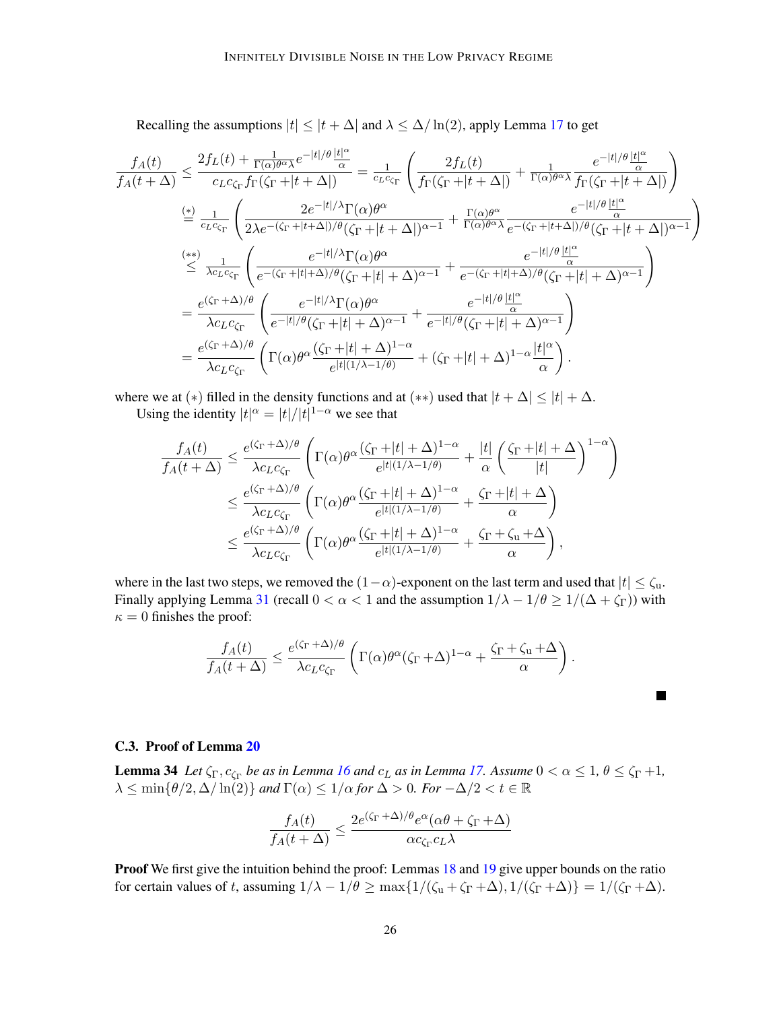Recalling the assumptions  $|t| \le |t + \Delta|$  and  $\lambda \le \Delta / \ln(2)$ , apply Lemma [17](#page-10-1) to get

$$
\begin{split} \frac{f_A(t)}{f_A(t+\Delta)} &\leq \frac{2f_L(t)+\frac{1}{\Gamma(\alpha)\theta^{\alpha}\lambda}e^{-|t|/\theta}\frac{|t|^{\alpha}}{\alpha}}{c_Lc_{\zeta_\Gamma}f_\Gamma(\zeta_\Gamma+|t+\Delta|)} = \frac{1}{c_Lc_{\zeta_\Gamma}}\left(\frac{2f_L(t)}{f_\Gamma(\zeta_\Gamma+|t+\Delta|)}+\frac{1}{\Gamma(\alpha)\theta^{\alpha}\lambda}\frac{e^{-|t|/\theta}\frac{|t|^{\alpha}}{\alpha}}{f_\Gamma(\zeta_\Gamma+|t+\Delta|)}\right)\\ &\stackrel{(*)}{=}\frac{1}{c_Lc_{\zeta_\Gamma}}\left(\frac{2e^{-|t|/\lambda}\Gamma(\alpha)\theta^{\alpha}}{2\lambda e^{-(\zeta_\Gamma+|t+\Delta|)/\theta}(\zeta_\Gamma+|t+\Delta|)^{\alpha-1}}+\frac{\Gamma(\alpha)\theta^{\alpha}}{\Gamma(\alpha)\theta^{\alpha}\lambda}\frac{e^{-|t|/\theta}\frac{|t|^{\alpha}}{\alpha}}{e^{-(\zeta_\Gamma+|t+\Delta|)/\theta}(\zeta_\Gamma+|t+\Delta|)^{\alpha-1}}\right)\\ &\stackrel{(**)}{\leq} \frac{1}{\lambda c_Lc_{\zeta_\Gamma}}\left(\frac{e^{-|t|/\lambda}\Gamma(\alpha)\theta^{\alpha}}{e^{-(\zeta_\Gamma+|t|\Delta)/\theta}(\zeta_\Gamma+|t|+\Delta)^{\alpha-1}}+\frac{e^{-|t|/\theta}\frac{|t|^{\alpha}}{\alpha}}{e^{-(\zeta_\Gamma+|t|\Delta)/\theta}(\zeta_\Gamma+|t|+\Delta)^{\alpha-1}}\right)\\ &=\frac{e^{(\zeta_\Gamma+\Delta)/\theta}}{\lambda c_Lc_{\zeta_\Gamma}}\left(\frac{e^{-|t|/\lambda}\Gamma(\alpha)\theta^{\alpha}}{e^{-|t|/\theta}(\zeta_\Gamma+|t|+\Delta)^{\alpha-1}}+\frac{e^{-|t|/\theta}\frac{|t|^{\alpha}}{\alpha}}{e^{-|t|/\theta}(\zeta_\Gamma+|t|+\Delta)^{\alpha-1}}\right)\\ &=\frac{e^{(\zeta_\Gamma+\Delta)/\theta}}{\lambda c_Lc_{\zeta_\Gamma}}\left(\Gamma(\alpha)\theta^{\alpha}\frac{(\zeta_\Gamma+|t|+\Delta)^{1-\alpha}}{e^{|t|(1/\lambda-1/\theta)}}+(\zeta_\Gamma+|t|+\Delta)^{1-\alpha}\frac{|t|^{\alpha}}{\alpha}\right). \end{split}
$$

where we at (\*) filled in the density functions and at (\*\*) used that  $|t + \Delta| \leq |t| + \Delta$ .

Using the identity  $|t|^{\alpha} = |t|/|t|^{1-\alpha}$  we see that

$$
\frac{f_A(t)}{f_A(t+\Delta)} \le \frac{e^{(\zeta_{\Gamma} + \Delta)/\theta}}{\lambda c_L c_{\zeta_{\Gamma}}} \left( \Gamma(\alpha) \theta^{\alpha} \frac{(\zeta_{\Gamma} + |t| + \Delta)^{1-\alpha}}{e^{|t|(1/\lambda - 1/\theta)}} + \frac{|t|}{\alpha} \left( \frac{\zeta_{\Gamma} + |t| + \Delta}{|t|} \right)^{1-\alpha} \right)
$$
  

$$
\le \frac{e^{(\zeta_{\Gamma} + \Delta)/\theta}}{\lambda c_L c_{\zeta_{\Gamma}}} \left( \Gamma(\alpha) \theta^{\alpha} \frac{(\zeta_{\Gamma} + |t| + \Delta)^{1-\alpha}}{e^{|t|(1/\lambda - 1/\theta)}} + \frac{\zeta_{\Gamma} + |t| + \Delta}{\alpha} \right)
$$
  

$$
\le \frac{e^{(\zeta_{\Gamma} + \Delta)/\theta}}{\lambda c_L c_{\zeta_{\Gamma}}} \left( \Gamma(\alpha) \theta^{\alpha} \frac{(\zeta_{\Gamma} + |t| + \Delta)^{1-\alpha}}{e^{|t|(1/\lambda - 1/\theta)}} + \frac{\zeta_{\Gamma} + \zeta_{\mu} + \Delta}{\alpha} \right),
$$

where in the last two steps, we removed the  $(1-\alpha)$ -exponent on the last term and used that  $|t| \leq \zeta_u$ . Finally applying Lemma [31](#page-21-3) (recall  $0 < \alpha < 1$  and the assumption  $1/\lambda - 1/\theta \ge 1/(\Delta + \zeta_{\Gamma})$ ) with  $\kappa = 0$  finishes the proof:

$$
\frac{f_A(t)}{f_A(t+\Delta)} \le \frac{e^{(\zeta_\Gamma + \Delta)/\theta}}{\lambda c_L c_{\zeta_\Gamma}} \left( \Gamma(\alpha) \theta^\alpha (\zeta_\Gamma + \Delta)^{1-\alpha} + \frac{\zeta_\Gamma + \zeta_\mu + \Delta}{\alpha} \right).
$$

 $\blacksquare$ 

#### <span id="page-25-0"></span>C.3. Proof of Lemma [20](#page-11-2)

**Lemma 34** Let  $\zeta_{\Gamma}, c_{\zeta_{\Gamma}}$  be as in Lemma [16](#page-9-2) and  $c_L$  as in Lemma [17.](#page-10-1) Assume  $0 < \alpha \leq 1$ ,  $\theta \leq \zeta_{\Gamma} + 1$ ,  $\lambda \leq \min\{\theta/2, \Delta/\ln(2)\}\$ and  $\Gamma(\alpha) \leq 1/\alpha$  for  $\Delta > 0$ *. For*  $-\Delta/2 < t \in \mathbb{R}$ 

$$
\frac{f_A(t)}{f_A(t+\Delta)} \le \frac{2e^{(\zeta_{\Gamma} + \Delta)/\theta}e^{\alpha}(\alpha\theta + \zeta_{\Gamma} + \Delta)}{\alpha c_{\zeta_{\Gamma}}c_L\lambda}
$$

Proof We first give the intuition behind the proof: Lemmas [18](#page-11-0) and [19](#page-11-1) give upper bounds on the ratio for certain values of t, assuming  $1/\lambda - 1/\theta \ge \max\{1/(\zeta_{\rm u} + \zeta_{\rm \Gamma} + \Delta), 1/(\zeta_{\rm \Gamma} + \Delta)\} = 1/(\zeta_{\rm \Gamma} + \Delta)$ .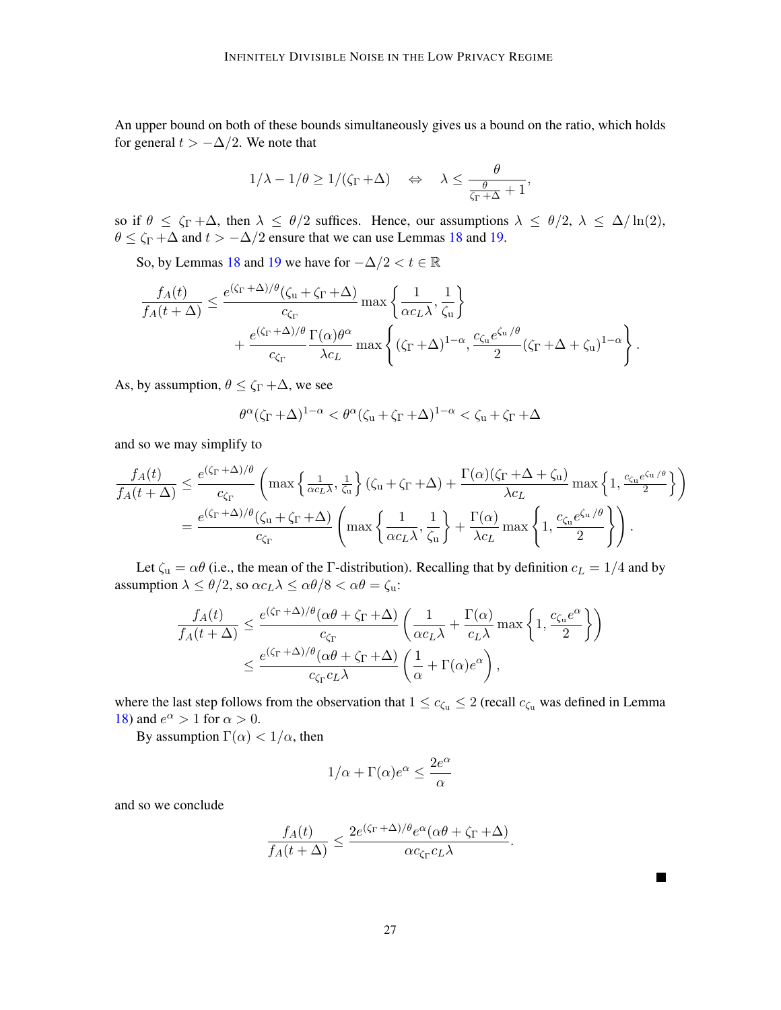An upper bound on both of these bounds simultaneously gives us a bound on the ratio, which holds for general  $t > -\Delta/2$ . We note that

$$
1/\lambda - 1/\theta \ge 1/(\zeta_{\Gamma} + \Delta) \quad \Leftrightarrow \quad \lambda \le \frac{\theta}{\frac{\theta}{\zeta_{\Gamma} + \Delta} + 1},
$$

so if  $\theta \le \zeta_{\Gamma} + \Delta$ , then  $\lambda \le \theta/2$  suffices. Hence, our assumptions  $\lambda \le \theta/2$ ,  $\lambda \le \Delta/\ln(2)$ ,  $\theta \le \zeta_{\Gamma} + \Delta$  and  $t > -\Delta/2$  ensure that we can use Lemmas [18](#page-11-0) and [19.](#page-11-1)

So, by Lemmas [18](#page-11-0) and [19](#page-11-1) we have for  $-\Delta/2 < t \in \mathbb{R}$ 

$$
\frac{f_A(t)}{f_A(t+\Delta)} \le \frac{e^{(\zeta_{\Gamma} + \Delta)/\theta}(\zeta_{\mathbf{u}} + \zeta_{\Gamma} + \Delta)}{c_{\zeta_{\Gamma}}} \max\left\{\frac{1}{\alpha c_L \lambda}, \frac{1}{\zeta_{\mathbf{u}}}\right\} + \frac{e^{(\zeta_{\Gamma} + \Delta)/\theta} \Gamma(\alpha) \theta^{\alpha}}{c_{\zeta_{\Gamma}}} \max\left\{ (\zeta_{\Gamma} + \Delta)^{1-\alpha}, \frac{c_{\zeta_{\mathbf{u}}} e^{\zeta_{\mathbf{u}}/\theta}}{2} (\zeta_{\Gamma} + \Delta + \zeta_{\mathbf{u}})^{1-\alpha}}\right\}.
$$

As, by assumption,  $\theta \le \zeta_{\Gamma} + \Delta$ , we see

$$
\theta^{\alpha}(\zeta_{\Gamma} + \Delta)^{1-\alpha} < \theta^{\alpha}(\zeta_{u} + \zeta_{\Gamma} + \Delta)^{1-\alpha} < \zeta_{u} + \zeta_{\Gamma} + \Delta
$$

and so we may simplify to

$$
\frac{f_A(t)}{f_A(t+\Delta)} \le \frac{e^{(\zeta_{\Gamma}+\Delta)/\theta}}{c_{\zeta_{\Gamma}}} \left( \max\left\{ \frac{1}{\alpha c_L \lambda}, \frac{1}{\zeta_u} \right\} (\zeta_u + \zeta_{\Gamma} + \Delta) + \frac{\Gamma(\alpha)(\zeta_{\Gamma}+\Delta+\zeta_u)}{\lambda c_L} \max\left\{ 1, \frac{c_{\zeta_u} e^{\zeta_u/\theta}}{2} \right\} \right)
$$

$$
= \frac{e^{(\zeta_{\Gamma}+\Delta)/\theta} (\zeta_u + \zeta_{\Gamma} + \Delta)}{c_{\zeta_{\Gamma}}} \left( \max\left\{ \frac{1}{\alpha c_L \lambda}, \frac{1}{\zeta_u} \right\} + \frac{\Gamma(\alpha)}{\lambda c_L} \max\left\{ 1, \frac{c_{\zeta_u} e^{\zeta_u/\theta}}{2} \right\} \right).
$$

Let  $\zeta_u = \alpha \theta$  (i.e., the mean of the Γ-distribution). Recalling that by definition  $c_L = 1/4$  and by assumption  $\lambda \leq \theta/2$ , so  $\alpha c_L \lambda \leq \alpha \theta/8 < \alpha \theta = \zeta_u$ :

$$
\frac{f_A(t)}{f_A(t+\Delta)} \le \frac{e^{(\zeta_{\Gamma} + \Delta)/\theta}(\alpha\theta + \zeta_{\Gamma} + \Delta)}{c_{\zeta_{\Gamma}}} \left(\frac{1}{\alpha c_L \lambda} + \frac{\Gamma(\alpha)}{c_L \lambda} \max\left\{1, \frac{c_{\zeta_u} e^{\alpha}}{2}\right\}\right)
$$

$$
\le \frac{e^{(\zeta_{\Gamma} + \Delta)/\theta}(\alpha\theta + \zeta_{\Gamma} + \Delta)}{c_{\zeta_{\Gamma}} c_L \lambda} \left(\frac{1}{\alpha} + \Gamma(\alpha)e^{\alpha}\right),
$$

where the last step follows from the observation that  $1 \leq c_{\zeta_u} \leq 2$  (recall  $c_{\zeta_u}$  was defined in Lemma [18\)](#page-11-0) and  $e^{\alpha} > 1$  for  $\alpha > 0$ .

By assumption  $\Gamma(\alpha) < 1/\alpha$ , then

$$
1/\alpha+\Gamma(\alpha)e^{\alpha}\leq \frac{2e^{\alpha}}{\alpha}
$$

and so we conclude

$$
\frac{f_A(t)}{f_A(t+\Delta)} \leq \frac{2e^{(\zeta_\Gamma+\Delta)/\theta}e^\alpha(\alpha\theta+\zeta_\Gamma+\Delta)}{\alpha c_{\zeta_\Gamma}c_L\lambda}.
$$

 $\blacksquare$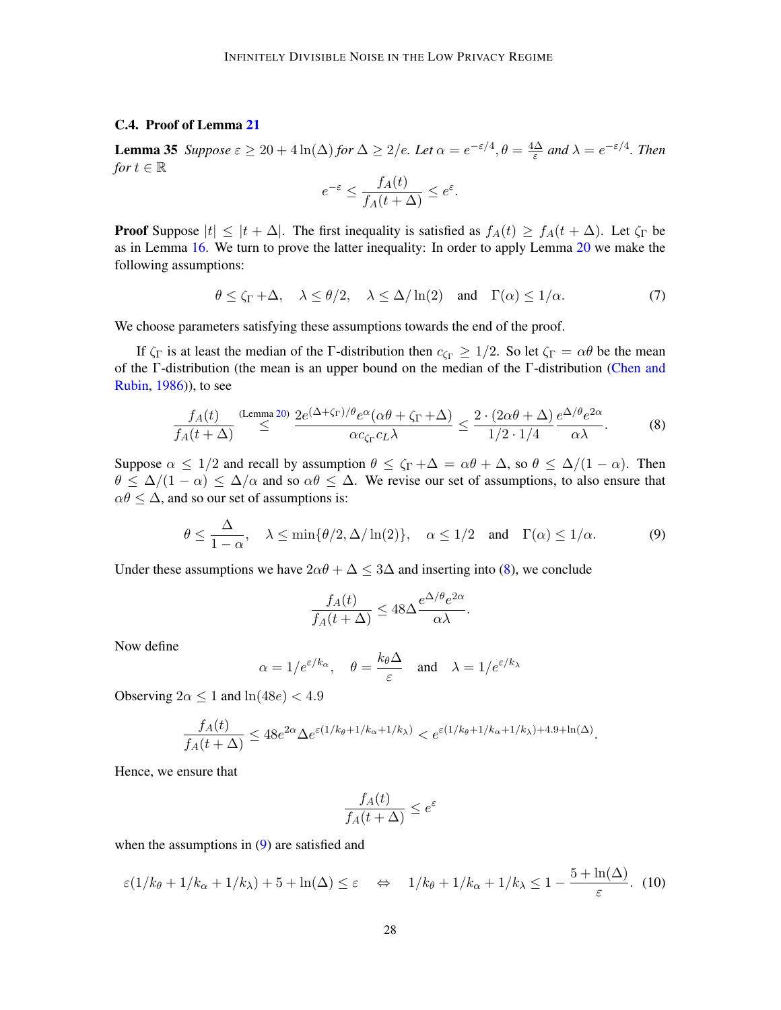## <span id="page-27-0"></span>C.4. Proof of Lemma [21](#page-12-1)

**Lemma 35** *Suppose*  $\varepsilon \geq 20 + 4\ln(\Delta)$  *for*  $\Delta \geq 2/e$ *. Let*  $\alpha = e^{-\varepsilon/4}, \theta = \frac{4\Delta}{\varepsilon}$  $\frac{\Delta}{\varepsilon}$  and  $\lambda = e^{-\varepsilon/4}$ . Then *for*  $t \in \mathbb{R}$  $\theta$  (  $\theta$ )

$$
e^{-\varepsilon} \le \frac{f_A(t)}{f_A(t+\Delta)} \le e^{\varepsilon}.
$$

**Proof** Suppose  $|t| \leq |t + \Delta|$ . The first inequality is satisfied as  $f_A(t) \geq f_A(t + \Delta)$ . Let  $\zeta_{\Gamma}$  be as in Lemma [16.](#page-9-2) We turn to prove the latter inequality: In order to apply Lemma [20](#page-11-2) we make the following assumptions:

$$
\theta \le \zeta_{\Gamma} + \Delta, \quad \lambda \le \theta/2, \quad \lambda \le \Delta/\ln(2) \quad \text{and} \quad \Gamma(\alpha) \le 1/\alpha. \tag{7}
$$

We choose parameters satisfying these assumptions towards the end of the proof.

If  $\zeta_{\Gamma}$  is at least the median of the Γ-distribution then  $c_{\zeta_{\Gamma}} \geq 1/2$ . So let  $\zeta_{\Gamma} = \alpha \theta$  be the mean of the Γ-distribution (the mean is an upper bound on the median of the Γ-distribution [\(Chen and](#page-14-8) [Rubin,](#page-14-8) [1986\)](#page-14-8)), to see

$$
\frac{f_A(t)}{f_A(t+\Delta)} \stackrel{\text{(Lemma 20)}}{\leq} \frac{2e^{(\Delta+\zeta_{\Gamma})/\theta}e^{\alpha}(\alpha\theta+\zeta_{\Gamma}+\Delta)}{\alpha c_{\zeta_{\Gamma}}c_L\lambda} \leq \frac{2\cdot(2\alpha\theta+\Delta)}{1/2\cdot 1/4}\frac{e^{\Delta/\theta}e^{2\alpha}}{\alpha\lambda}.
$$
 (8)

Suppose  $\alpha \leq 1/2$  and recall by assumption  $\theta \leq \zeta_{\Gamma} + \Delta = \alpha \theta + \Delta$ , so  $\theta \leq \Delta/(1 - \alpha)$ . Then  $\theta \leq \Delta/(1-\alpha) \leq \Delta/\alpha$  and so  $\alpha\theta \leq \Delta$ . We revise our set of assumptions, to also ensure that  $\alpha\theta \leq \Delta$ , and so our set of assumptions is:

$$
\theta \le \frac{\Delta}{1-\alpha}, \quad \lambda \le \min\{\theta/2, \Delta/\ln(2)\}, \quad \alpha \le 1/2 \quad \text{and} \quad \Gamma(\alpha) \le 1/\alpha. \tag{9}
$$

Under these assumptions we have  $2\alpha\theta + \Delta \leq 3\Delta$  and inserting into [\(8\)](#page-27-1), we conclude

<span id="page-27-2"></span><span id="page-27-1"></span>
$$
\frac{f_A(t)}{f_A(t+\Delta)} \le 48\Delta \frac{e^{\Delta/\theta} e^{2\alpha}}{\alpha\lambda}.
$$

Now define

$$
\alpha = 1/e^{\varepsilon/k_{\alpha}}, \quad \theta = \frac{k_{\theta} \Delta}{\varepsilon} \quad \text{and} \quad \lambda = 1/e^{\varepsilon/k_{\lambda}}
$$

Observing  $2\alpha \leq 1$  and  $\ln(48e) < 4.9$ 

$$
\frac{f_A(t)}{f_A(t+\Delta)} \le 48e^{2\alpha} \Delta e^{\varepsilon (1/k_{\theta}+1/k_{\alpha}+1/k_{\lambda})} < e^{\varepsilon (1/k_{\theta}+1/k_{\alpha}+1/k_{\lambda})+4.9+\ln(\Delta)}.
$$

Hence, we ensure that

<span id="page-27-3"></span>
$$
\frac{f_A(t)}{f_A(t+\Delta)} \le e^{\varepsilon}
$$

when the assumptions in  $(9)$  are satisfied and

$$
\varepsilon(1/k_{\theta} + 1/k_{\alpha} + 1/k_{\lambda}) + 5 + \ln(\Delta) \le \varepsilon \quad \Leftrightarrow \quad 1/k_{\theta} + 1/k_{\alpha} + 1/k_{\lambda} \le 1 - \frac{5 + \ln(\Delta)}{\varepsilon}.
$$
 (10)